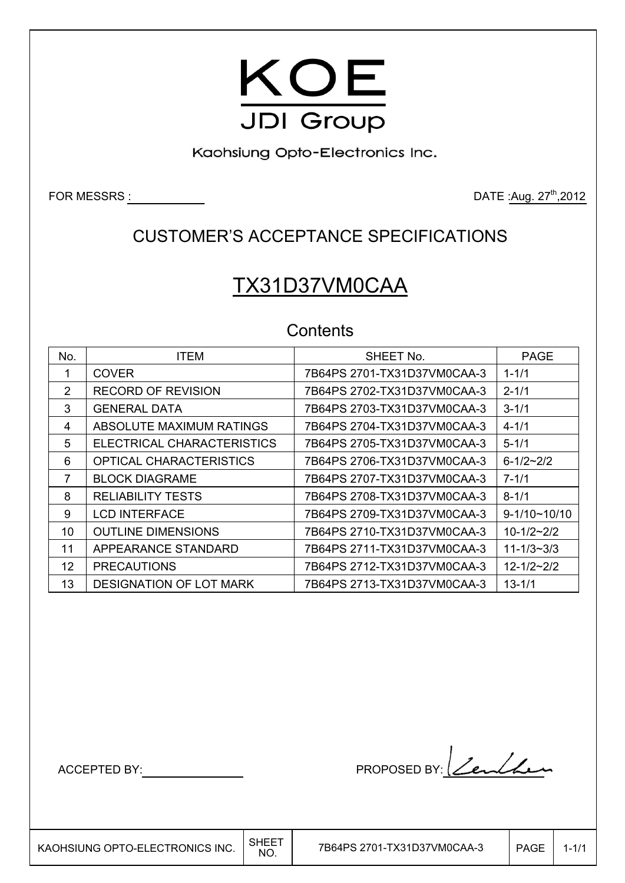

Kaohsiung Opto-Electronics Inc.

FOR MESSRS :  $DATE: \frac{1}{2}$  DATE : $\frac{1}{2}$  DATE : $\frac{27^{th}}{2012}$ 

### CUSTOMER'S ACCEPTANCE SPECIFICATIONS

# TX31D37VM0CAA

### **Contents**

| No. | <b>ITEM</b>                | SHEET No.                   | <b>PAGE</b>           |
|-----|----------------------------|-----------------------------|-----------------------|
|     | <b>COVER</b>               | 7B64PS 2701-TX31D37VM0CAA-3 | $1 - 1/1$             |
| 2   | <b>RECORD OF REVISION</b>  | 7B64PS 2702-TX31D37VM0CAA-3 | $2 - 1/1$             |
| 3   | <b>GENERAL DATA</b>        | 7B64PS 2703-TX31D37VM0CAA-3 | $3 - 1/1$             |
| 4   | ABSOLUTE MAXIMUM RATINGS   | 7B64PS 2704-TX31D37VM0CAA-3 | $4 - 1/1$             |
| 5   | ELECTRICAL CHARACTERISTICS | 7B64PS 2705-TX31D37VM0CAA-3 | $5 - 1/1$             |
| 6   | OPTICAL CHARACTERISTICS    | 7B64PS 2706-TX31D37VM0CAA-3 | $6 - 1/2 - 2/2$       |
| 7   | <b>BLOCK DIAGRAME</b>      | 7B64PS 2707-TX31D37VM0CAA-3 | $7 - 1/1$             |
| 8   | <b>RELIABILITY TESTS</b>   | 7B64PS 2708-TX31D37VM0CAA-3 | $8 - 1/1$             |
| 9   | <b>LCD INTERFACE</b>       | 7B64PS 2709-TX31D37VM0CAA-3 | $9 - 1/10 \sim 10/10$ |
| 10  | <b>OUTLINE DIMENSIONS</b>  | 7B64PS 2710-TX31D37VM0CAA-3 | $10-1/2-2/2$          |
| 11  | APPEARANCE STANDARD        | 7B64PS 2711-TX31D37VM0CAA-3 | $11 - 1/3 - 3/3$      |
| 12  | <b>PRECAUTIONS</b>         | 7B64PS 2712-TX31D37VM0CAA-3 | $12 - 1/2 - 2/2$      |
| 13  | DESIGNATION OF LOT MARK    | 7B64PS 2713-TX31D37VM0CAA-3 | $13 - 1/1$            |

 $\overline{\phantom{a}}$ 

ACCEPTED BY: MODEL BY: 2 PROPOSED BY: 2 PACCEPTED BY: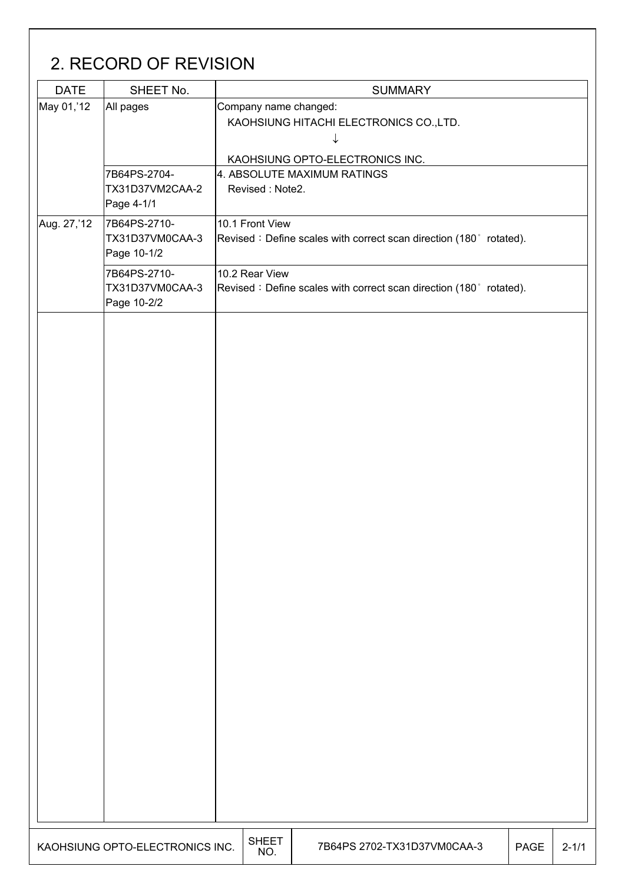# 2. RECORD OF REVISION DATE SHEET No. SUMMARY  $\begin{vmatrix} \text{May } 01, 12 \\ \text{All pages} \end{vmatrix}$  Company name changed: KAOHSIUNG HITACHI ELECTRONICS CO.,LTD. produced a series of the series of the series of the series of the series of the series of the series of the s KAOHSIUNG OPTO-ELECTRONICS INC. 7B64PS-2704- TX31D37VM2CAA-2 Page 4-1/1 4. ABSOLUTE MAXIMUM RATINGS Revised : Note2. Aug. 27,'12 7B64PS-2710-TX31D37VM0CAA-3 Page 10-1/2 10.1 Front View Revised : Define scales with correct scan direction (180 $^{\circ}$  rotated). 7B64PS-2710- TX31D37VM0CAA-3 Page 10-2/2 10.2 Rear View Revised : Define scales with correct scan direction (180 $^{\circ}$  rotated). KAOHSIUNG OPTO-ELECTRONICS INC.  $\Big|\substack{\mathsf{SHEET}}{\mathsf{NO}}$ 7B64PS 2702-TX31D37VM0CAA-3 | PAGE 2-1/1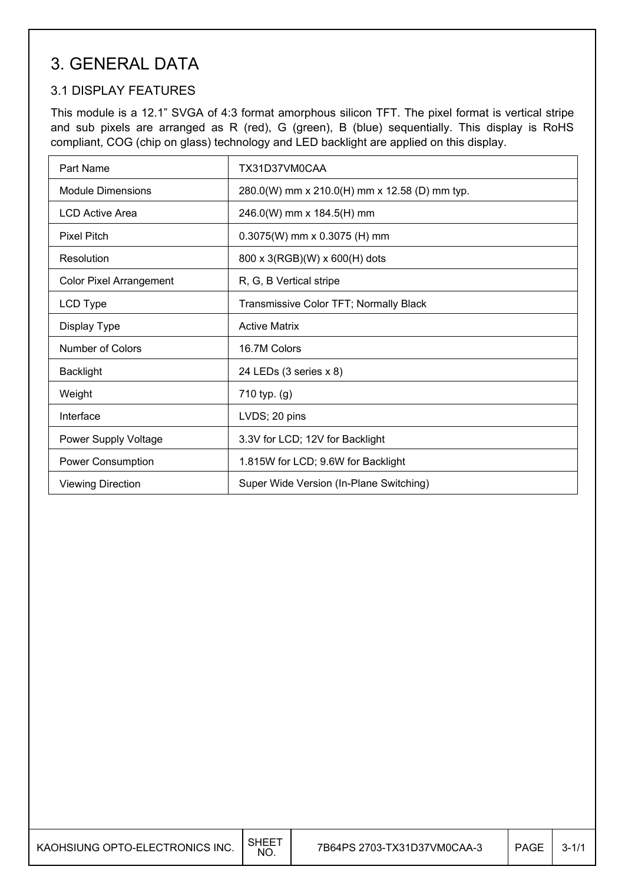### 3. GENERAL DATA

#### 3.1 DISPLAY FEATURES

This module is a 12.1" SVGA of 4:3 format amorphous silicon TFT. The pixel format is vertical stripe and sub pixels are arranged as R (red), G (green), B (blue) sequentially. This display is RoHS compliant, COG (chip on glass) technology and LED backlight are applied on this display.

| Part Name                      | TX31D37VM0CAA                                 |
|--------------------------------|-----------------------------------------------|
| <b>Module Dimensions</b>       | 280.0(W) mm x 210.0(H) mm x 12.58 (D) mm typ. |
| <b>LCD Active Area</b>         | 246.0(W) mm x 184.5(H) mm                     |
| <b>Pixel Pitch</b>             | $0.3075(W)$ mm x 0.3075 (H) mm                |
| Resolution                     | 800 x 3(RGB)(W) x 600(H) dots                 |
| <b>Color Pixel Arrangement</b> | R, G, B Vertical stripe                       |
| LCD Type                       | Transmissive Color TFT; Normally Black        |
| Display Type                   | <b>Active Matrix</b>                          |
| Number of Colors               | 16.7M Colors                                  |
| <b>Backlight</b>               | 24 LEDs (3 series x 8)                        |
| Weight                         | 710 typ. (g)                                  |
| Interface                      | LVDS; 20 pins                                 |
| Power Supply Voltage           | 3.3V for LCD; 12V for Backlight               |
| <b>Power Consumption</b>       | 1.815W for LCD; 9.6W for Backlight            |
| <b>Viewing Direction</b>       | Super Wide Version (In-Plane Switching)       |

| KAOHSIUNG OPTO-ELECTRONICS INC. | <b>SHEET</b><br><b>NO</b> | 7B64PS 2703-TX31D37VM0CAA-3 | PAGE | $3 - 1/1$ |
|---------------------------------|---------------------------|-----------------------------|------|-----------|
|---------------------------------|---------------------------|-----------------------------|------|-----------|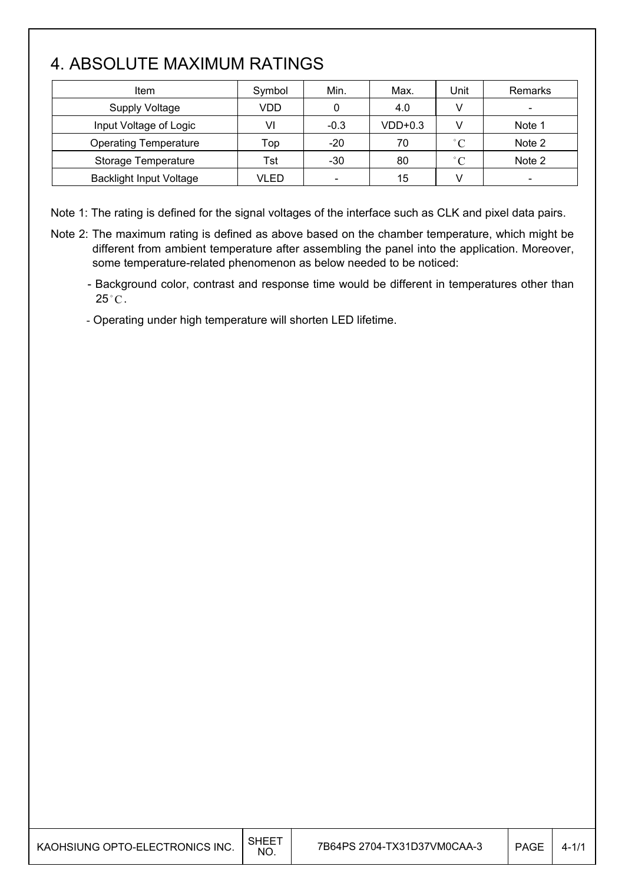# 4. ABSOLUTE MAXIMUM RATINGS

| Item                           | Symbol | Min.                     | Max.      | Unit         | Remarks |
|--------------------------------|--------|--------------------------|-----------|--------------|---------|
| <b>Supply Voltage</b>          | VDD    | 0                        | 4.0       |              |         |
| Input Voltage of Logic         | VI     | $-0.3$                   | $VDD+0.3$ |              | Note 1  |
| <b>Operating Temperature</b>   | Top    | -20                      | 70        | $^{\circ}$ C | Note 2  |
| Storage Temperature            | Tst    | $-30$                    | 80        | $^{\circ}$ C | Note 2  |
| <b>Backlight Input Voltage</b> | VLED   | $\overline{\phantom{a}}$ | 15        |              |         |

Note 1: The rating is defined for the signal voltages of the interface such as CLK and pixel data pairs.

- Note 2: The maximum rating is defined as above based on the chamber temperature, which might be different from ambient temperature after assembling the panel into the application. Moreover, some temperature-related phenomenon as below needed to be noticed:
	- Background color, contrast and response time would be different in temperatures other than  $25^{\circ}$ C.
	- Operating under high temperature will shorten LED lifetime.

| KAOHSIUNG OPTO-ELECTRONICS INC. | SHEET<br>NO. | 7B64PS 2704-TX31D37VM0CAA-3 | <b>PAGE</b> | $4 - 1/1$ |
|---------------------------------|--------------|-----------------------------|-------------|-----------|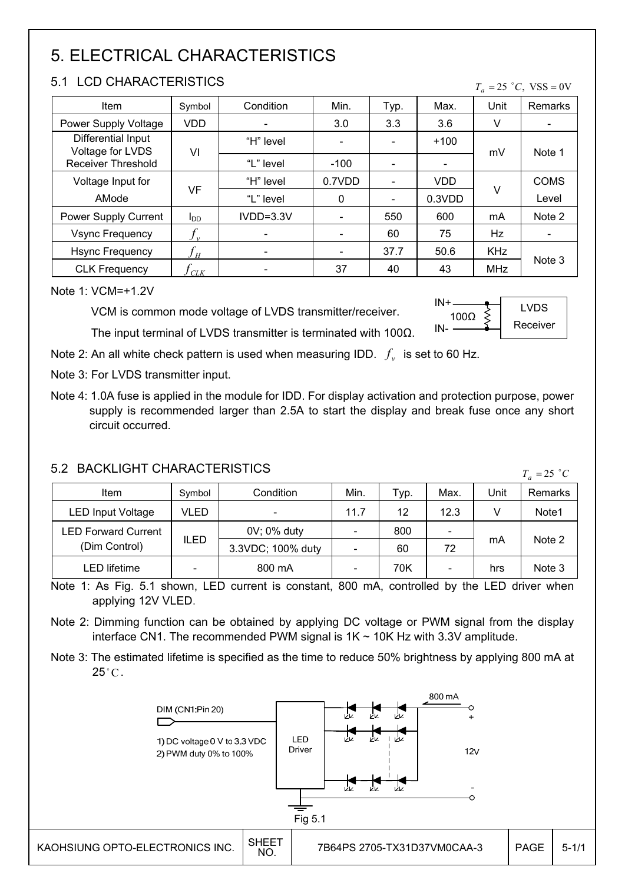# 5. ELECTRICAL CHARACTERISTICS

#### 5.1 LCD CHARACTERISTICS

| 9.1 LUD UHARAUTERISTIUS                |                            |                          |        |                          |            |            | $T_a = 25$ °C, VSS = 0V  |
|----------------------------------------|----------------------------|--------------------------|--------|--------------------------|------------|------------|--------------------------|
| Item                                   | Symbol                     | Condition                | Min.   | Typ.                     | Max.       | Unit       | Remarks                  |
| Power Supply Voltage                   | <b>VDD</b>                 |                          | 3.0    | 3.3                      | 3.6        | v          | $\overline{\phantom{a}}$ |
| Differential Input<br>Voltage for LVDS | VI                         | "H" level                |        |                          | $+100$     | mV         | Note 1                   |
| <b>Receiver Threshold</b>              |                            | "L" level                | $-100$ |                          |            |            |                          |
| Voltage Input for                      | VF                         | "H" level                | 0.7VDD |                          | <b>VDD</b> | v          | <b>COMS</b>              |
| AMode                                  |                            | "L" level                | 0      | $\overline{\phantom{a}}$ | 0.3VDD     |            | Level                    |
| Power Supply Current                   | $I_{DD}$                   | $IVDD=3.3V$              |        | 550                      | 600        | mA         | Note 2                   |
| <b>Vsync Frequency</b>                 | $f_{\rm v}$                |                          |        | 60                       | 75         | Hz         |                          |
| <b>Hsync Frequency</b>                 | $f_{\scriptscriptstyle H}$ | $\overline{\phantom{a}}$ |        | 37.7                     | 50.6       | <b>KHz</b> |                          |
| <b>CLK Frequency</b>                   | CLK                        |                          | 37     | 40                       | 43         | <b>MHz</b> | Note 3                   |

Note 1: VCM=+1.2V

VCM is common mode voltage of LVDS transmitter/receiver.

The input terminal of LVDS transmitter is terminated with  $100\Omega$ .



Note 2: An all white check pattern is used when measuring IDD.  $f<sub>v</sub>$  is set to 60 Hz.

Note 3: For LVDS transmitter input.

Note 4: 1.0A fuse is applied in the module for IDD. For display activation and protection purpose, power supply is recommended larger than 2.5A to start the display and break fuse once any short circuit occurred.

### 5.2 BACKLIGHT CHARACTERISTICS

| <u>J.Z DAUNLIUNI UNARAUTERISTIUS</u><br>$T_a = 25$ °C |                              |                   |      |      |                              |      |                |  |
|-------------------------------------------------------|------------------------------|-------------------|------|------|------------------------------|------|----------------|--|
| Item                                                  | Symbol                       | Condition         | Min. | Typ. | Max.                         | Unit | <b>Remarks</b> |  |
| LED Input Voltage                                     | VLED                         |                   | 11.7 | 12   | 12.3                         |      | Note1          |  |
| <b>LED Forward Current</b>                            |                              | 0V; 0% duty       |      | 800  | $\overline{\phantom{0}}$     |      |                |  |
| (Dim Control)                                         | <b>ILED</b>                  | 3.3VDC; 100% duty |      | 60   | 72                           | mA   | Note 2         |  |
| LED lifetime                                          | $\qquad \qquad \blacksquare$ | 800 mA            |      | 70K  | $\qquad \qquad \blacksquare$ | hrs  | Note 3         |  |

Note 1: As Fig. 5.1 shown, LED current is constant, 800 mA, controlled by the LED driver when applying 12V VLED.

Note 2: Dimming function can be obtained by applying DC voltage or PWM signal from the display interface CN1. The recommended PWM signal is  $1K \sim 10K$  Hz with 3.3V amplitude.

Note 3: The estimated lifetime is specified as the time to reduce 50% brightness by applying 800 mA at  $25^{\circ}$ C.

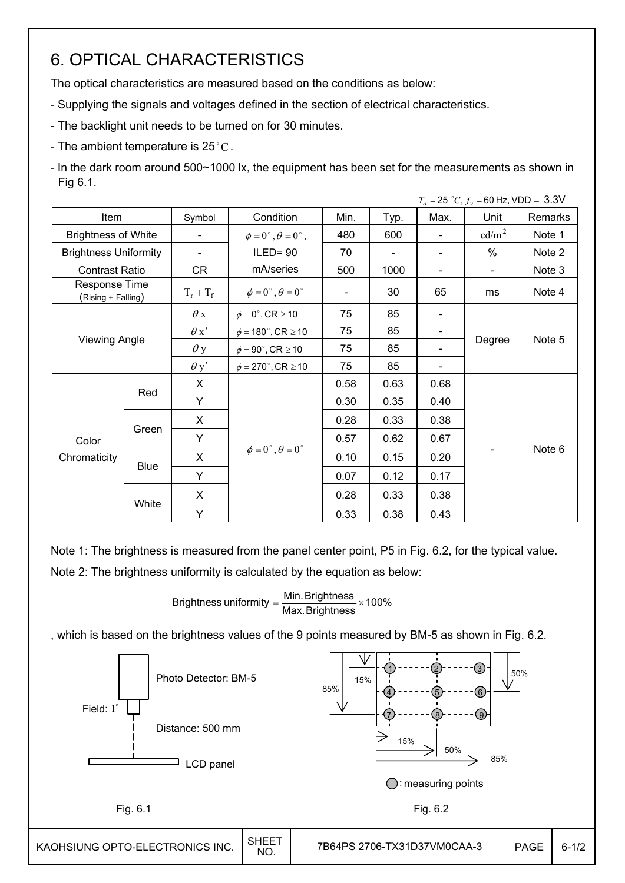# 6. OPTICAL CHARACTERISTICS

The optical characteristics are measured based on the conditions as below:

- Supplying the signals and voltages defined in the section of electrical characteristics.
- The backlight unit needs to be turned on for 30 minutes.
- The ambient temperature is 25 °C.
- In the dark room around 500~1000 lx, the equipment has been set for the measurements as shown in Fig 6.1.

|                                     |                      |                          |                                          |      |      |      | $T_a = 25 °C$ , $f_v = 60$ Hz, VDD = 3.3V |         |
|-------------------------------------|----------------------|--------------------------|------------------------------------------|------|------|------|-------------------------------------------|---------|
| Item                                |                      | Symbol                   | Condition                                | Min. | Typ. | Max. | Unit                                      | Remarks |
| <b>Brightness of White</b>          |                      | $\overline{\phantom{a}}$ | $\phi = 0^{\circ}, \theta = 0^{\circ}$ , | 480  | 600  |      | $\text{cd/m}^2$                           | Note 1  |
| <b>Brightness Uniformity</b>        |                      |                          | $ILED = 90$                              | 70   |      |      | $\%$                                      | Note 2  |
| <b>Contrast Ratio</b>               |                      | CR                       | mA/series                                | 500  | 1000 |      |                                           | Note 3  |
| Response Time<br>(Rising + Falling) |                      | $T_r + T_f$              | $\phi = 0^{\circ}, \theta = 0^{\circ}$   |      | 30   | 65   | ms                                        | Note 4  |
|                                     |                      | $\theta$ x               | $\phi = 0^\circ$ , CR $\geq 10$          | 75   | 85   |      |                                           |         |
|                                     |                      | $\theta x'$              | $\phi = 180^\circ$ , CR $\geq 10$        | 75   | 85   |      |                                           |         |
|                                     | <b>Viewing Angle</b> |                          | $\phi = 90^{\circ}$ , CR $\geq 10$       | 75   | 85   |      | Degree                                    | Note 5  |
|                                     |                      | $\theta$ y'              | $\phi = 270^\circ$ , CR $\geq 10$        | 75   | 85   |      |                                           |         |
|                                     |                      | X                        |                                          | 0.58 | 0.63 | 0.68 |                                           |         |
|                                     | Red                  | Y                        |                                          | 0.30 | 0.35 | 0.40 |                                           |         |
|                                     |                      | X                        |                                          | 0.28 | 0.33 | 0.38 |                                           |         |
| Color                               | Green                | Y                        |                                          | 0.57 | 0.62 | 0.67 |                                           |         |
| Chromaticity                        |                      | X                        | $\phi = 0^{\circ}, \theta = 0^{\circ}$   | 0.10 | 0.15 | 0.20 |                                           | Note 6  |
|                                     | <b>Blue</b>          | Y                        |                                          | 0.07 | 0.12 | 0.17 |                                           |         |
|                                     |                      | X                        |                                          | 0.28 | 0.33 | 0.38 |                                           |         |
|                                     | White<br>Y           |                          |                                          | 0.33 | 0.38 | 0.43 |                                           |         |

Note 1: The brightness is measured from the panel center point, P5 in Fig. 6.2, for the typical value.

Note 2: The brightness uniformity is calculated by the equation as below:

Brightness uniformity = 
$$
\frac{\text{Min.}_{\text{Brightness}}}{\text{Max.}_{\text{Brightness}} \times 100\%
$$

, which is based on the brightness values of the 9 points measured by BM-5 as shown in Fig. 6.2.

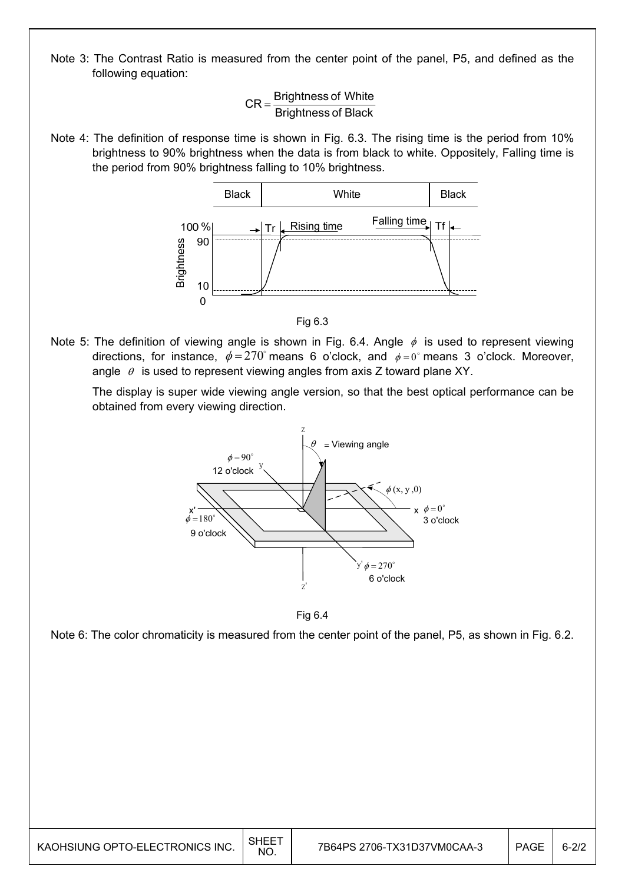Note 3: The Contrast Ratio is measured from the center point of the panel, P5, and defined as the following equation:

> Brightness of Black  $CR =$ Brightness of White

Note 4: The definition of response time is shown in Fig. 6.3. The rising time is the period from 10% brightness to 90% brightness when the data is from black to white. Oppositely, Falling time is the period from 90% brightness falling to 10% brightness.





Note 5: The definition of viewing angle is shown in Fig. 6.4. Angle  $\phi$  is used to represent viewing directions, for instance,  $\phi = 270^\circ$  means 6 o'clock, and  $\phi = 0^\circ$  means 3 o'clock. Moreover, angle  $\theta$  is used to represent viewing angles from axis Z toward plane XY.

 The display is super wide viewing angle version, so that the best optical performance can be obtained from every viewing direction.



Fig 6.4

Note 6: The color chromaticity is measured from the center point of the panel, P5, as shown in Fig. 6.2.

| KAOHSIUNG OPTO-ELECTRONICS INC. | SHEE <sup>-</sup><br><b>NO</b> | 7B64PS 2706-TX31D37VM0CAA-3 | PAGE | $6 - 2/2$ |
|---------------------------------|--------------------------------|-----------------------------|------|-----------|
|---------------------------------|--------------------------------|-----------------------------|------|-----------|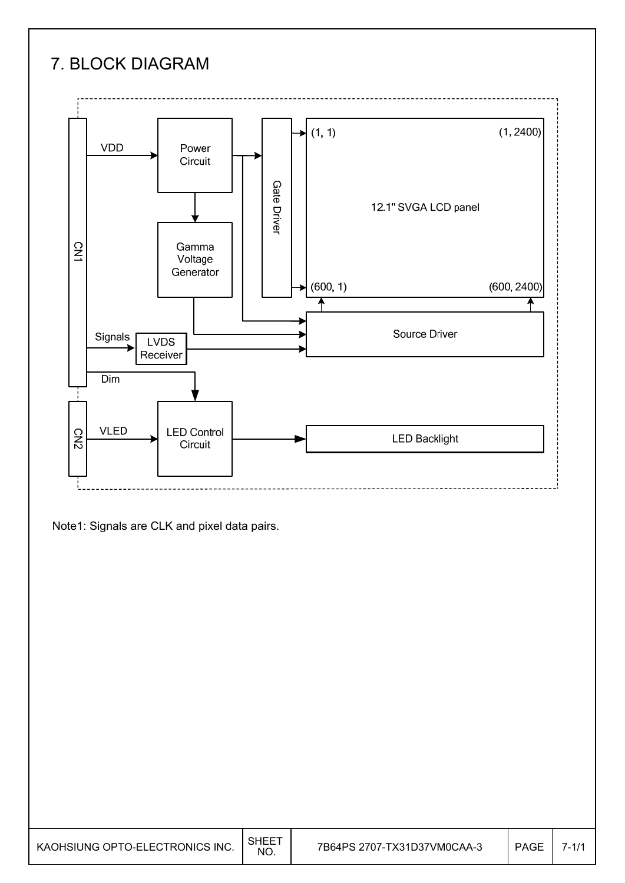# 7. BLOCK DIAGRAM



Note1: Signals are CLK and pixel data pairs.

| KAOHSIUNG OPTO-ELECTRONICS INC. | SHEE <sup>-</sup><br><b>NO</b> | 7B64PS 2707-TX31D37VM0CAA-3 | PAGE | $7 - 1/1$ |
|---------------------------------|--------------------------------|-----------------------------|------|-----------|
|---------------------------------|--------------------------------|-----------------------------|------|-----------|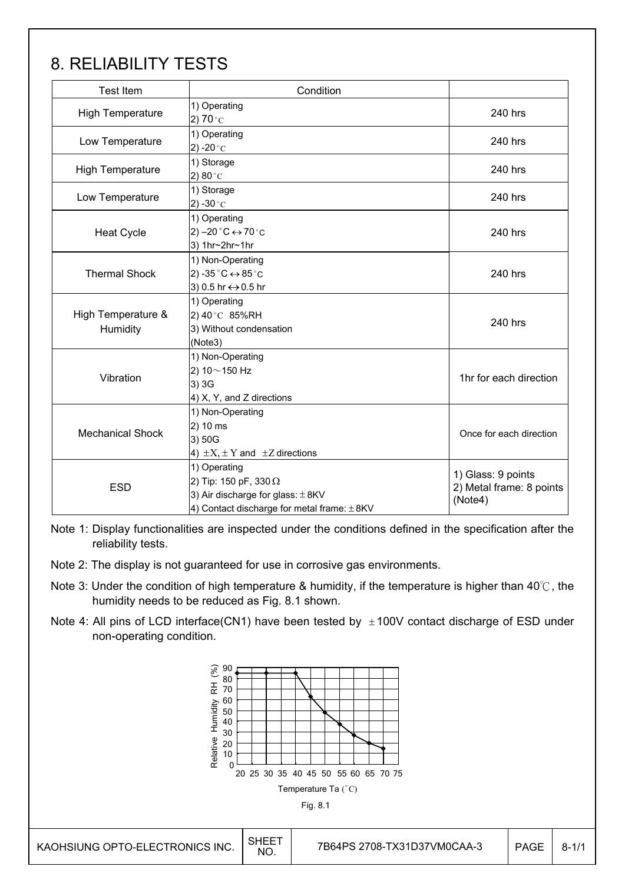# 8. RELIABILITY TESTS

| <b>Test Item</b>               | Condition                                                                                                                                |                                                           |
|--------------------------------|------------------------------------------------------------------------------------------------------------------------------------------|-----------------------------------------------------------|
| <b>High Temperature</b>        | 1) Operating<br>2) $70^{\circ}$ C                                                                                                        | 240 hrs                                                   |
| Low Temperature                | 1) Operating<br>2) -20 $^{\circ}$ C                                                                                                      | 240 hrs                                                   |
| <b>High Temperature</b>        | 1) Storage<br>2) 80 $^{\circ}$ C                                                                                                         | 240 hrs                                                   |
| Low Temperature                | 1) Storage<br>2) -30 $^{\circ}$ C                                                                                                        | 240 hrs                                                   |
| <b>Heat Cycle</b>              | 1) Operating<br>$(2) -20$ °C $\leftrightarrow$ 70 °C<br>3) 1hr~2hr~1hr                                                                   | 240 hrs                                                   |
| <b>Thermal Shock</b>           | 1) Non-Operating<br>2) -35 $^{\circ}$ C $\leftrightarrow$ 85 $^{\circ}$ C<br>3) 0.5 hr ↔ 0.5 hr                                          | 240 hrs                                                   |
| High Temperature &<br>Humidity | 1) Operating<br>2) 40°C 85%RH<br>3) Without condensation<br>(Note3)                                                                      | 240 hrs                                                   |
| Vibration                      | 1) Non-Operating<br>2) $10 \sim 150$ Hz<br>3) 3G<br>4) X, Y, and Z directions                                                            | 1hr for each direction                                    |
| <b>Mechanical Shock</b>        | 1) Non-Operating<br>2) 10 ms<br>3) 50G<br>4) $\pm X$ , $\pm Y$ and $\pm Z$ directions                                                    | Once for each direction                                   |
| <b>ESD</b>                     | 1) Operating<br>2) Tip: 150 pF, 330 $\Omega$<br>3) Air discharge for glass: $\pm$ 8KV<br>4) Contact discharge for metal frame: $\pm$ 8KV | 1) Glass: 9 points<br>2) Metal frame: 8 points<br>(Note4) |

Note 1: Display functionalities are inspected under the conditions defined in the specification after the reliability tests.

- Note 2: The display is not guaranteed for use in corrosive gas environments.
- Note 3: Under the condition of high temperature & humidity, if the temperature is higher than 40°C, the humidity needs to be reduced as Fig. 8.1 shown.
- Note 4: All pins of LCD interface(CN1) have been tested by  $\pm 100V$  contact discharge of ESD under non-operating condition.

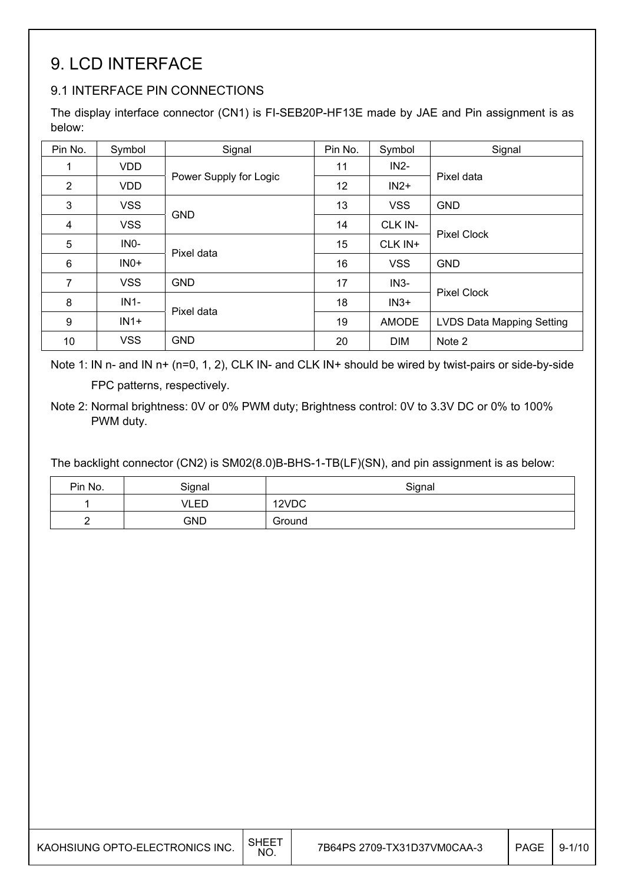# 9. LCD INTERFACE

### 9.1 INTERFACE PIN CONNECTIONS

The display interface connector (CN1) is FI-SEB20P-HF13E made by JAE and Pin assignment is as below:

| Pin No.        | Symbol     | Signal                 | Pin No. | Symbol     | Signal                           |
|----------------|------------|------------------------|---------|------------|----------------------------------|
| 1              | <b>VDD</b> |                        | 11      | $IN2-$     |                                  |
| 2              | <b>VDD</b> | Power Supply for Logic | 12      | $IN2+$     | Pixel data                       |
| 3              | <b>VSS</b> |                        | 13      | <b>VSS</b> | <b>GND</b>                       |
| 4              | <b>VSS</b> | <b>GND</b>             | 14      | CLK IN-    |                                  |
| 5              | INO-       |                        | 15      | CLK IN+    | <b>Pixel Clock</b>               |
| 6              | $INO+$     | Pixel data             | 16      | <b>VSS</b> | <b>GND</b>                       |
| $\overline{7}$ | <b>VSS</b> | <b>GND</b>             | 17      | $IN3-$     |                                  |
| 8              | $IN1-$     |                        | 18      | $IN3+$     | <b>Pixel Clock</b>               |
| 9              | $IN1+$     | Pixel data             | 19      | AMODE      | <b>LVDS Data Mapping Setting</b> |
| 10             | <b>VSS</b> | <b>GND</b>             | 20      | <b>DIM</b> | Note 2                           |

Note 1: IN n- and IN n+ (n=0, 1, 2), CLK IN- and CLK IN+ should be wired by twist-pairs or side-by-side FPC patterns, respectively.

The backlight connector (CN2) is SM02(8.0)B-BHS-1-TB(LF)(SN), and pin assignment is as below:

| Pin No. | Signal | Signal |
|---------|--------|--------|
|         | VLED   | 12VDC  |
| -       | GND    | Ground |

Note 2: Normal brightness: 0V or 0% PWM duty; Brightness control: 0V to 3.3V DC or 0% to 100% PWM duty.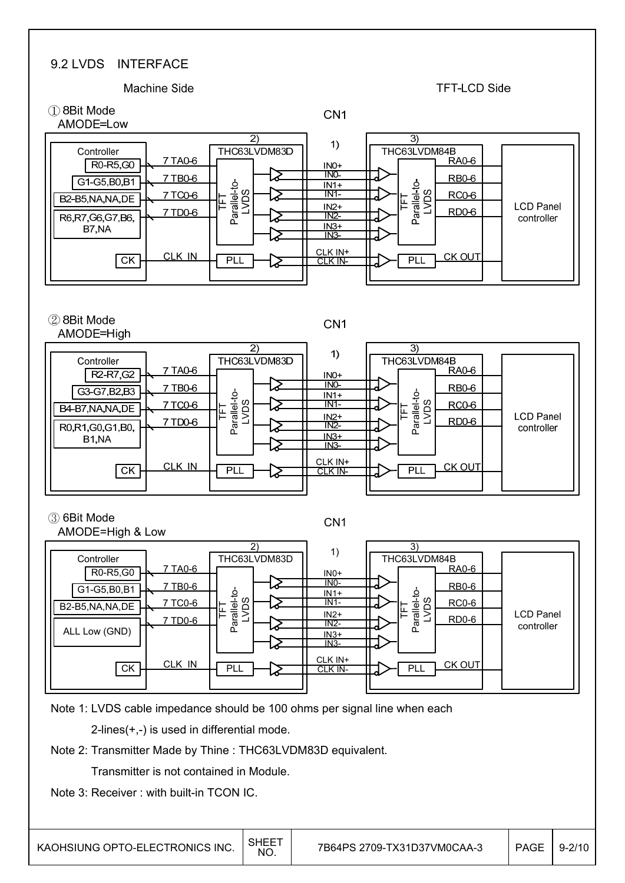#### 9.2 LVDS INTERFACE



Transmitter is not contained in Module.

Note 3: Receiver : with built-in TCON IC.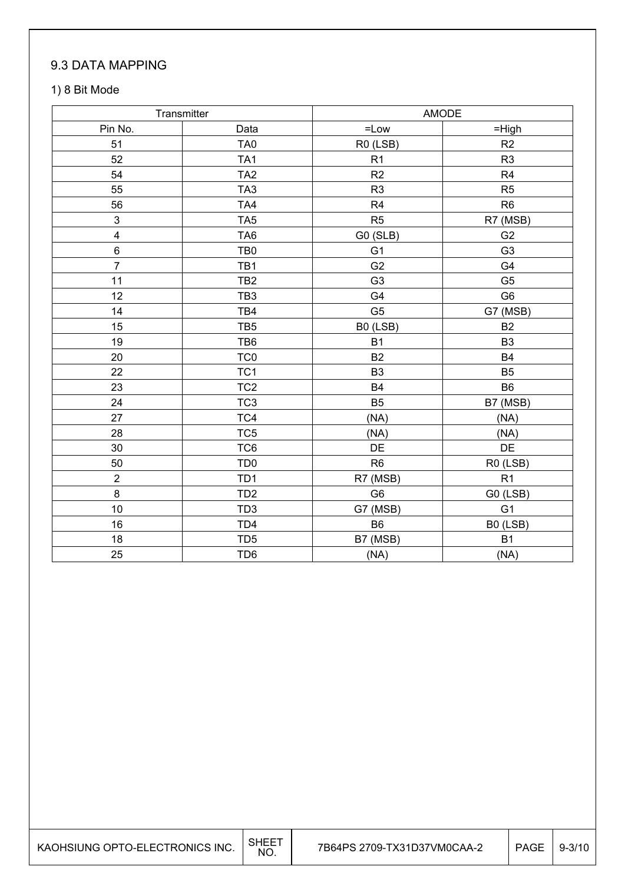### 9.3 DATA MAPPING

#### 1) 8 Bit Mode

| Transmitter             |                 |                | AMODE          |
|-------------------------|-----------------|----------------|----------------|
| Pin No.                 | Data            | $=$ Low        | $=$ High       |
| 51                      | TA <sub>0</sub> | R0 (LSB)       | R2             |
| 52                      | TA <sub>1</sub> | R <sub>1</sub> | R <sub>3</sub> |
| 54                      | TA <sub>2</sub> | R2             | R <sub>4</sub> |
| 55                      | TA <sub>3</sub> | R <sub>3</sub> | R <sub>5</sub> |
| 56                      | TA4             | R <sub>4</sub> | R <sub>6</sub> |
| 3                       | TA <sub>5</sub> | R <sub>5</sub> | R7 (MSB)       |
| $\overline{\mathbf{4}}$ | TA <sub>6</sub> | G0 (SLB)       | G <sub>2</sub> |
| $\,6$                   | TB <sub>0</sub> | G <sub>1</sub> | G <sub>3</sub> |
| $\overline{7}$          | TB1             | G <sub>2</sub> | G4             |
| 11                      | TB <sub>2</sub> | G <sub>3</sub> | G <sub>5</sub> |
| 12                      | TB <sub>3</sub> | G4             | G <sub>6</sub> |
| 14                      | TB4             | G <sub>5</sub> | G7 (MSB)       |
| 15                      | TB <sub>5</sub> | B0 (LSB)       | B <sub>2</sub> |
| 19                      | TB6             | <b>B1</b>      | B <sub>3</sub> |
| 20                      | TC <sub>0</sub> | <b>B2</b>      | <b>B4</b>      |
| 22                      | TC <sub>1</sub> | B <sub>3</sub> | <b>B5</b>      |
| 23                      | TC <sub>2</sub> | <b>B4</b>      | B <sub>6</sub> |
| 24                      | TC <sub>3</sub> | <b>B5</b>      | B7 (MSB)       |
| 27                      | TC4             | (NA)           | (NA)           |
| 28                      | TC <sub>5</sub> | (NA)           | (NA)           |
| 30                      | TC6             | DE             | DE             |
| 50                      | TD <sub>0</sub> | R <sub>6</sub> | R0 (LSB)       |
| $\boldsymbol{2}$        | TD <sub>1</sub> | R7 (MSB)       | R1             |
| 8                       | TD <sub>2</sub> | G <sub>6</sub> | G0 (LSB)       |
| 10                      | TD <sub>3</sub> | G7 (MSB)       | G <sub>1</sub> |
| 16                      | TD <sub>4</sub> | B <sub>6</sub> | B0 (LSB)       |
| 18                      | TD <sub>5</sub> | B7 (MSB)       | <b>B1</b>      |
| 25                      | TD <sub>6</sub> | (NA)           | (NA)           |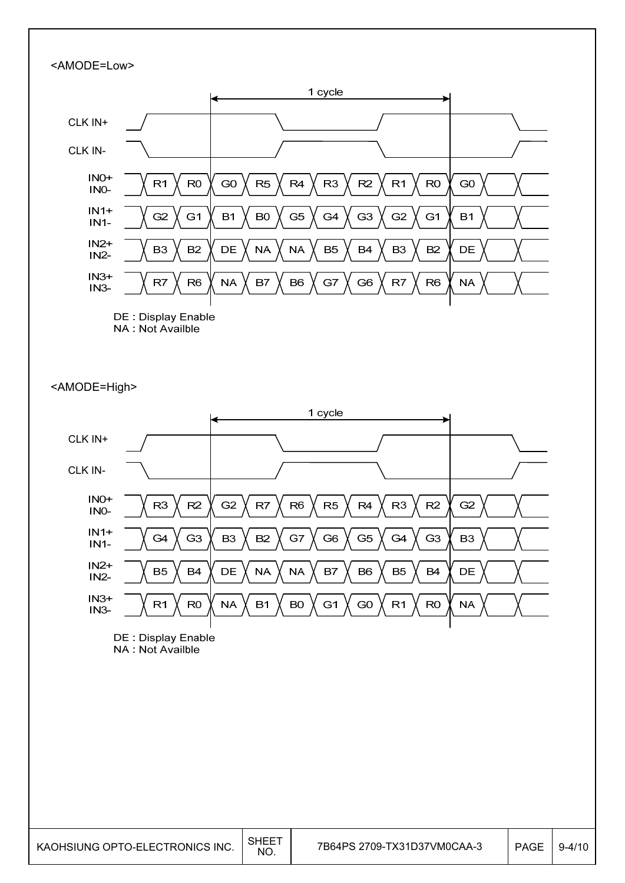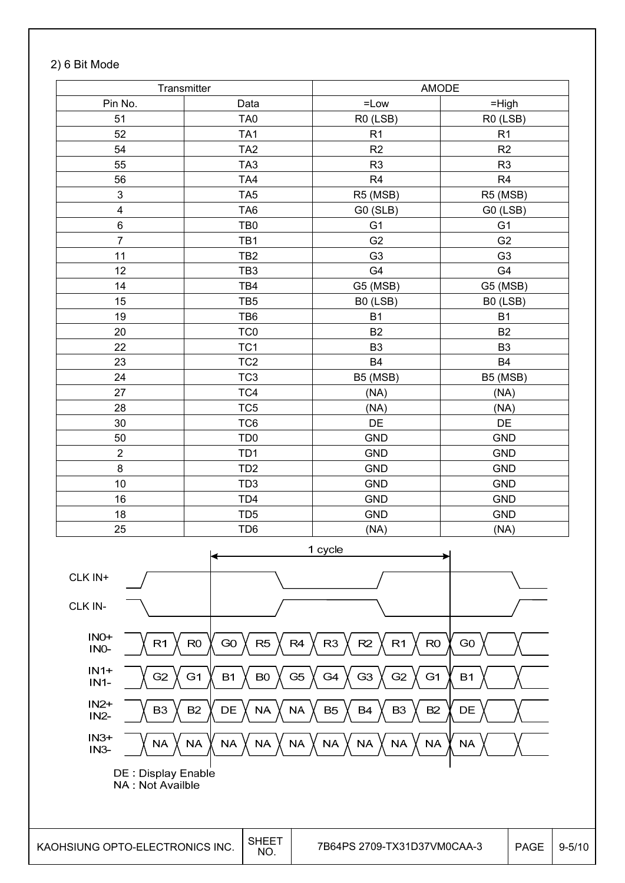#### 2) 6 Bit Mode

|                         | Transmitter     |                | <b>AMODE</b>   |
|-------------------------|-----------------|----------------|----------------|
| Pin No.                 | Data            | $=$ Low        | $=$ High       |
| 51                      | TA <sub>0</sub> | R0 (LSB)       | R0 (LSB)       |
| 52                      | TA <sub>1</sub> | R1             | R <sub>1</sub> |
| 54                      | TA <sub>2</sub> | R <sub>2</sub> | R2             |
| 55                      | TA <sub>3</sub> | R <sub>3</sub> | R <sub>3</sub> |
| 56                      | TA4             | R4             | R <sub>4</sub> |
| $\mathsf 3$             | TA <sub>5</sub> | R5 (MSB)       | R5 (MSB)       |
| $\overline{\mathbf{4}}$ | TA <sub>6</sub> | G0 (SLB)       | G0 (LSB)       |
| $\,6$                   | TB <sub>0</sub> | G <sub>1</sub> | G <sub>1</sub> |
| $\overline{7}$          | TB1             | G <sub>2</sub> | G <sub>2</sub> |
| 11                      | TB <sub>2</sub> | G <sub>3</sub> | G <sub>3</sub> |
| 12                      | TB <sub>3</sub> | G4             | G4             |
| 14                      | TB4             | G5 (MSB)       | G5 (MSB)       |
| 15                      | TB <sub>5</sub> | B0 (LSB)       | B0 (LSB)       |
| 19                      | TB6             | <b>B1</b>      | <b>B1</b>      |
| 20                      | TC <sub>0</sub> | <b>B2</b>      | <b>B2</b>      |
| 22                      | TC <sub>1</sub> | B <sub>3</sub> | B <sub>3</sub> |
| 23                      | TC <sub>2</sub> | <b>B4</b>      | <b>B4</b>      |
| 24                      | TC <sub>3</sub> | B5 (MSB)       | B5 (MSB)       |
| 27                      | TC4             | (NA)           | (NA)           |
| 28                      | TC <sub>5</sub> | (NA)           | (NA)           |
| 30                      | TC6             | DE             | DE             |
| 50                      | TD <sub>0</sub> | <b>GND</b>     | <b>GND</b>     |
| $\overline{c}$          | TD <sub>1</sub> | <b>GND</b>     | <b>GND</b>     |
| 8                       | TD <sub>2</sub> | <b>GND</b>     | <b>GND</b>     |
| 10                      | TD <sub>3</sub> | <b>GND</b>     | <b>GND</b>     |
| 16                      | TD <sub>4</sub> | <b>GND</b>     | <b>GND</b>     |
| 18                      | TD <sub>5</sub> | <b>GND</b>     | <b>GND</b>     |
| 25                      | TD <sub>6</sub> | (NA)           | (NA)           |
|                         |                 | 1 cycle        |                |
| $CLK$ IN+               |                 |                |                |
| CLK IN-                 |                 |                |                |

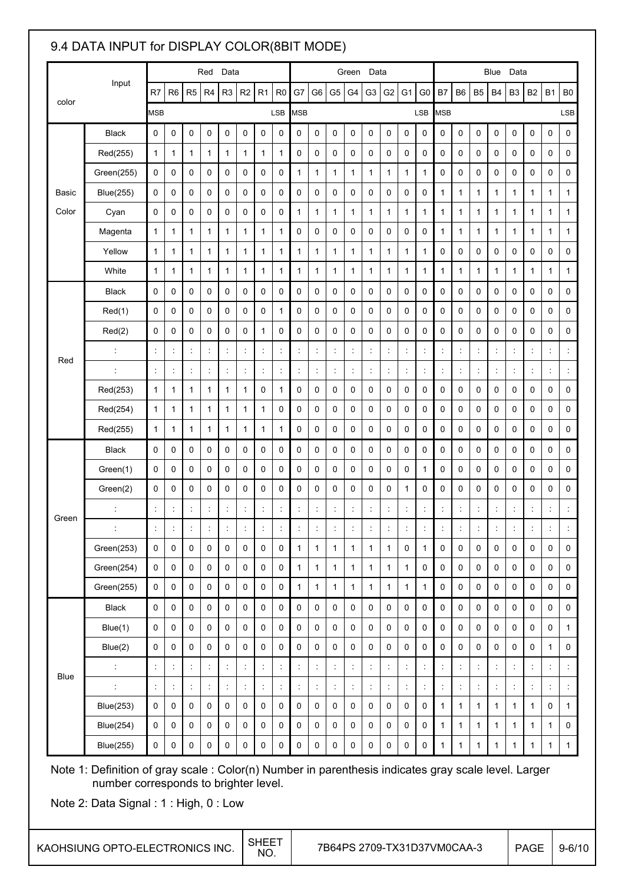### 9.4 DATA INPUT for DISPLAY COLOR(8BIT MODE)

|              |                                                                                                                                               |                |                                                                                                                                                                                                                                                                                                |                      | Red                  | Data                 |                |                      |                      |                      |                      |                      | Green                | Data                 |                                      |                     |                      |                |                      |                | Blue                 | Data                 |                |                     |                     |
|--------------|-----------------------------------------------------------------------------------------------------------------------------------------------|----------------|------------------------------------------------------------------------------------------------------------------------------------------------------------------------------------------------------------------------------------------------------------------------------------------------|----------------------|----------------------|----------------------|----------------|----------------------|----------------------|----------------------|----------------------|----------------------|----------------------|----------------------|--------------------------------------|---------------------|----------------------|----------------|----------------------|----------------|----------------------|----------------------|----------------|---------------------|---------------------|
| color        | Input                                                                                                                                         | R7             | R <sub>6</sub>                                                                                                                                                                                                                                                                                 | R <sub>5</sub>       | R <sub>4</sub>       | R <sub>3</sub>       | R <sub>2</sub> | R <sub>1</sub>       | R <sub>0</sub>       | G7                   | G <sub>6</sub>       | G <sub>5</sub>       | G4                   | G <sub>3</sub>       | G <sub>2</sub>                       | G <sub>1</sub>      | G <sub>0</sub>       | <b>B7</b>      | B <sub>6</sub>       | B <sub>5</sub> | B4                   | B <sub>3</sub>       | <b>B2</b>      | <b>B1</b>           | B <sub>0</sub>      |
|              |                                                                                                                                               | <b>MSB</b>     |                                                                                                                                                                                                                                                                                                |                      |                      |                      |                |                      | LSB                  | <b>MSB</b>           |                      |                      |                      |                      |                                      |                     | LSB                  | <b>MSB</b>     |                      |                |                      |                      |                |                     | LSB                 |
|              | <b>Black</b>                                                                                                                                  | $\pmb{0}$      | 0                                                                                                                                                                                                                                                                                              | $\mathbf 0$          | 0                    | $\mathbf 0$          | 0              | $\mathbf 0$          | 0                    | $\mathbf 0$          | 0                    | $\mathbf 0$          | 0                    | $\mathbf 0$          | 0                                    | $\pmb{0}$           | 0                    | $\mathbf 0$    | $\mathbf 0$          | $\pmb{0}$      | 0                    | $\mathbf 0$          | $\mathbf 0$    | 0                   | $\mathbf 0$         |
|              | Red(255)                                                                                                                                      | 1              | 1                                                                                                                                                                                                                                                                                              | 1                    | $\mathbf{1}$         | 1                    | 1              | 1                    | 1                    | 0                    | 0                    | 0                    | 0                    | 0                    | 0                                    | 0                   | 0                    | 0              | 0                    | 0              | 0                    | 0                    | 0              | 0                   | 0                   |
|              | Green(255)                                                                                                                                    | 0              | 0                                                                                                                                                                                                                                                                                              | 0                    | 0                    | 0                    | 0              | 0                    | 0                    | 1                    | $\mathbf{1}$         | 1                    | 1                    | 1                    | $\mathbf{1}$                         | 1                   | 1                    | 0              | $\mathbf 0$          | $\mathbf 0$    | 0                    | 0                    | 0              | 0                   | 0                   |
| <b>Basic</b> | <b>Blue(255)</b>                                                                                                                              | $\mathbf 0$    | 0                                                                                                                                                                                                                                                                                              | $\mathbf 0$          | 0                    | 0                    | 0              | $\mathbf 0$          | 0                    | $\mathbf 0$          | 0                    | 0                    | 0                    | 0                    | 0                                    | $\mathbf 0$         | 0                    | 1              | $\mathbf{1}$         | 1              | 1                    | 1                    | 1              | 1                   | 1                   |
| Color        | Cyan                                                                                                                                          | $\mathbf 0$    | 0                                                                                                                                                                                                                                                                                              | 0                    | 0                    | 0                    | 0              | $\mathbf 0$          | 0                    | 1                    | 1                    | 1                    | 1                    | 1                    | 1                                    | 1                   | 1                    | 1              | 1                    | 1              | 1                    | 1                    | $\mathbf{1}$   | 1                   | 1                   |
|              | Magenta                                                                                                                                       | 1              | 1                                                                                                                                                                                                                                                                                              | 1                    | 1                    | 1                    | 1              | 1                    | 1                    | 0                    | 0                    | 0                    | 0                    | 0                    | 0                                    | 0                   | 0                    | 1              | 1                    | 1              | 1                    | 1                    | 1              | 1                   | 1                   |
|              | Yellow                                                                                                                                        | 1              | 1                                                                                                                                                                                                                                                                                              | 1                    | 1                    | 1                    | 1              | 1                    | 1                    | 1                    | 1                    | 1                    | 1                    | 1                    | 1                                    | 1                   | 1                    | 0              | 0                    | 0              | 0                    | 0                    | 0              | 0                   | 0                   |
|              | White                                                                                                                                         | $\mathbf{1}$   | 1                                                                                                                                                                                                                                                                                              | 1                    | 1                    | 1                    | 1              | 1                    | 1                    | 1                    | $\mathbf{1}$         | 1                    | 1                    | 1                    | 1                                    | 1                   | 1                    | 1              | 1                    | 1              | 1                    | $\mathbf{1}$         | $\mathbf{1}$   | 1                   | $\mathbf{1}$        |
|              | Black                                                                                                                                         | 0              | 0                                                                                                                                                                                                                                                                                              | 0                    | 0                    | 0                    | 0              | 0                    | 0                    | 0                    | 0                    | 0                    | 0                    | 0                    | 0                                    | 0                   | 0                    | 0              | 0                    | $\mathbf 0$    | 0                    | 0                    | $\pmb{0}$      | 0                   | 0                   |
|              | Red(1)                                                                                                                                        | $\mathbf 0$    | 0                                                                                                                                                                                                                                                                                              | $\mathbf 0$          | 0                    | $\mathbf 0$          | 0              | 0                    | $\mathbf{1}$         | $\mathbf 0$          | 0                    | $\mathbf 0$          | 0                    | $\mathbf 0$          | $\mathbf 0$                          | $\mathbf 0$         | 0                    | $\mathbf 0$    | $\mathbf 0$          | $\mathbf 0$    | 0                    | 0                    | 0              | 0                   | 0                   |
|              | Red(2)                                                                                                                                        | $\mathbf 0$    | 0                                                                                                                                                                                                                                                                                              | $\mathbf 0$          | 0                    | 0                    | 0              | 1                    | 0                    | $\mathbf 0$          | 0                    | $\mathbf 0$          | 0                    | $\mathbf 0$          | 0                                    | $\mathbf 0$         | 0                    | $\mathbf 0$    | 0                    | $\mathbf 0$    | 0                    | $\mathbf 0$          | 0              | 0                   | 0                   |
| Red          | $\ddot{\phantom{a}}$                                                                                                                          | $\ddot{\cdot}$ | $\ddot{\phantom{a}}$                                                                                                                                                                                                                                                                           | $\ddot{\phantom{a}}$ | $\ddot{\phantom{a}}$ |                      | t              | $\ddot{\cdot}$       | İ,                   | $\ddot{\phantom{a}}$ | İ,                   | $\ddot{\phantom{a}}$ | $\ddot{\phantom{a}}$ | $\ddot{\phantom{a}}$ | t,                                   | $\ddot{\cdot}$      | t                    | $\ddot{\cdot}$ | $\ddot{\phantom{a}}$ | $\ddot{\cdot}$ | $\ddot{\phantom{a}}$ | $\ddot{\cdot}$       | t,             | $\ddot{\cdot}$      |                     |
|              | t                                                                                                                                             | $\ddot{\cdot}$ | ÷                                                                                                                                                                                                                                                                                              | $\ddot{\phantom{a}}$ | İ,                   | $\ddot{\cdot}$       | $\ddot{\cdot}$ | $\ddot{.}$           | İ,                   | İ,                   | İ,                   | ÷                    | İ,                   | $\ddot{.}$           | t,                                   | $\ddot{\cdot}$      | İ,                   | $\ddot{\cdot}$ | $\ddot{\cdot}$       | İ,             | İ,                   | $\ddot{\cdot}$       | İ,             | ÷                   | $\ddot{\cdot}$      |
|              | Red(253)                                                                                                                                      | 1              | 1                                                                                                                                                                                                                                                                                              | 1                    | 1                    | 1                    | 1              | 0                    | 1                    | 0                    | 0                    | 0                    | 0                    | 0                    | 0                                    | 0                   | 0                    | 0              | 0                    | 0              | 0                    | 0                    | 0              | 0                   | 0                   |
|              | Red(254)                                                                                                                                      | $\mathbf{1}$   | 1                                                                                                                                                                                                                                                                                              | 1                    | 1                    | 1                    | 1              | 1                    | 0                    | $\mathbf 0$          | 0                    | 0                    | 0                    | 0                    | 0                                    | 0                   | 0                    | 0              | 0                    | 0              | 0                    | 0                    | 0              | 0                   | 0                   |
|              | Red(255)                                                                                                                                      | 1              | 1                                                                                                                                                                                                                                                                                              | 1                    | 1                    | 1                    | 1              | 1                    | 1                    | $\mathbf 0$          | 0                    | $\mathbf 0$          | 0                    | $\mathbf 0$          | 0                                    | $\mathbf 0$         | 0                    | 0              | 0                    | $\mathbf 0$    | 0                    | 0                    | 0              | 0                   | 0                   |
|              | <b>Black</b>                                                                                                                                  | $\mathbf 0$    | 0                                                                                                                                                                                                                                                                                              | $\mathbf 0$          | 0                    | $\mathbf 0$          | 0              | $\mathbf 0$          | 0                    | $\mathbf 0$          | 0                    | $\mathbf 0$          | $\mathbf 0$          | $\mathbf 0$          | $\mathbf 0$                          | $\mathbf 0$         | 0                    | $\mathbf 0$    | $\mathsf{O}\xspace$  | $\mathbf 0$    | 0                    | 0                    | 0              | 0                   | $\mathbf 0$         |
|              | Green(1)                                                                                                                                      | $\mathbf 0$    | 0                                                                                                                                                                                                                                                                                              | $\mathbf 0$          | 0                    | 0                    | 0              | $\mathbf 0$          | 0                    | $\mathbf 0$          | 0                    | 0                    | 0                    | 0                    | 0                                    | $\mathbf 0$         | 1                    | 0              | 0                    | $\mathbf 0$    | 0                    | 0                    | 0              | 0                   | 0                   |
|              | Green(2)                                                                                                                                      | 0              | 0                                                                                                                                                                                                                                                                                              | 0                    | 0                    | 0                    | 0              | 0                    | 0                    | 0                    | 0                    | 0                    | 0                    | 0                    | 0                                    | 1                   | 0                    | 0              | 0                    | 0              | 0                    | 0                    | 0              | 0                   | 0                   |
| Green        | $\ddot{\phantom{a}}$                                                                                                                          | ÷              | t                                                                                                                                                                                                                                                                                              | $\ddot{\phantom{a}}$ | $\ddot{\cdot}$       | $\ddot{\cdot}$       | ÷              | ÷                    | ÷                    | $\ddot{\cdot}$       | İ,                   | $\ddot{\phantom{a}}$ | $\ddot{\phantom{a}}$ | $\ddot{\phantom{a}}$ | t,                                   | $\ddot{\cdot}$      | t                    | $\ddot{\cdot}$ | $\ddot{\phantom{a}}$ | $\ddot{\cdot}$ | $\ddot{\phantom{a}}$ | $\ddot{\phantom{a}}$ | t              | $\ddot{\cdot}$      |                     |
|              |                                                                                                                                               |                |                                                                                                                                                                                                                                                                                                |                      |                      |                      |                |                      |                      |                      |                      |                      |                      |                      |                                      |                     |                      |                |                      |                |                      |                      |                |                     |                     |
|              | Green(253)                                                                                                                                    | 0              | 0                                                                                                                                                                                                                                                                                              | $\mathbf 0$          | $\pmb{0}$            | $\mathbf 0$          | $\pmb{0}$      | $\pmb{0}$            | $\pmb{0}$            | 1                    | $\mathbf{1}$         | $\mathbf{1}$         | $\mathbf{1}$         | $\mathbf{1}$         | $\mathbf{1}$                         | $\mathbf 0$         | $\mathbf{1}$         | 0              | $\mathsf{O}\xspace$  | 0              | $\pmb{0}$            | $\mathbf 0$          | $\pmb{0}$      | 0                   | $\mathbf 0$         |
|              | Green(254)                                                                                                                                    | 0              | $\mathsf 0$                                                                                                                                                                                                                                                                                    | $\mathbf 0$          | $\mathbf 0$          | 0                    | $\pmb{0}$      | $\mathbf 0$          | $\pmb{0}$            | $\mathbf{1}$         | $\mathbf{1}$         | $\mathbf{1}$         | $\mathbf{1}$         | $\mathbf{1}$         | $\mathbf{1}$                         | $\mathbf{1}$        | $\pmb{0}$            | 0              | $\pmb{0}$            | 0              | $\pmb{0}$            | $\mathbf 0$          | $\pmb{0}$      | 0                   | 0                   |
|              | Green(255)                                                                                                                                    | 0              | 0                                                                                                                                                                                                                                                                                              | 0                    | 0                    | $\mathbf 0$          | 0              | $\pmb{0}$            | $\pmb{0}$            | 1                    | $\mathbf{1}$         | $\mathbf{1}$         | 1                    | 1                    | $\mathbf{1}$                         | $\mathbf{1}$        | $\mathbf{1}$         | 0              | $\pmb{0}$            | 0              | $\pmb{0}$            | $\mathbf 0$          | $\mathsf{O}$   | $\mathsf{O}\xspace$ | $\mathbf 0$         |
|              | <b>Black</b>                                                                                                                                  | $\mathbf 0$    | 0                                                                                                                                                                                                                                                                                              | 0                    | $\mathbf 0$          | $\mathbf 0$          | 0              | 0                    | 0                    | $\mathbf 0$          | 0                    | $\mathbf 0$          | $\mathbf 0$          | 0                    | $\pmb{0}$                            | $\mathbf 0$         | $\mathbf 0$          | $\mathbf 0$    | $\mathsf{O}\xspace$  | 0              | $\mathbf 0$          | $\mathbf 0$          | $\pmb{0}$      | 0                   | 0                   |
|              | Blue(1)                                                                                                                                       | $\mathbf 0$    | 0                                                                                                                                                                                                                                                                                              | $\mathbf 0$          | $\pmb{0}$            | $\mathbf 0$          | 0              | 0                    | 0                    | $\mathbf 0$          | 0                    | 0                    | $\mathsf{O}\xspace$  | 0                    | $\mathbf 0$                          | 0                   | 0                    | $\mathbf 0$    | $\mathsf{O}\xspace$  | 0              | $\mathsf{O}\xspace$  | 0                    | 0              | 0                   | $\mathbf{1}$        |
|              | Blue(2)                                                                                                                                       | $\pmb{0}$      | 0                                                                                                                                                                                                                                                                                              | 0                    | 0                    | $\pmb{0}$            | 0              | $\pmb{0}$            | 0                    | $\pmb{0}$            | 0                    | 0                    | $\mathsf{O}\xspace$  | 0                    | 0                                    | $\mathbf 0$         | 0                    | $\pmb{0}$      | $\mathsf{O}\xspace$  | 0              | $\mathsf{O}\xspace$  | 0                    | $\pmb{0}$      | 1                   | $\mathsf{O}\xspace$ |
| <b>Blue</b>  |                                                                                                                                               | ÷              | ÷                                                                                                                                                                                                                                                                                              | t                    | $\ddot{\phantom{a}}$ | $\ddot{\cdot}$       | ÷              | $\ddot{\cdot}$       | ţ.                   | ÷                    | ÷                    | $\ddot{\phantom{a}}$ | ÷.                   | $\ddot{\phantom{a}}$ | $\ddot{\ddot{\phantom{}}\phantom{}}$ | ÷                   | $\ddot{\phantom{a}}$ | ÷              | ÷                    | $\ddot{\cdot}$ | t,                   | ÷                    | ÷              | ÷                   |                     |
|              | t                                                                                                                                             | $\ddot{\cdot}$ | t,                                                                                                                                                                                                                                                                                             | ÷                    | t,                   | $\ddot{\phantom{a}}$ | t,             | $\ddot{\phantom{a}}$ | $\ddot{\phantom{a}}$ | $\ddot{\phantom{a}}$ | $\ddot{\phantom{a}}$ | $\ddot{\cdot}$       | $\ddot{\cdot}$       | $\ddot{.}$           | $\ddot{\phantom{a}}$                 | t                   | $\ddot{\cdot}$       | $\ddot{\cdot}$ | $\vdots$             | $\ddot{\cdot}$ | t,                   | $\ddot{\phantom{a}}$ | $\ddot{\cdot}$ | $\ddot{\cdot}$      |                     |
|              | <b>Blue(253)</b>                                                                                                                              | 0              | 0                                                                                                                                                                                                                                                                                              | $\mathbf 0$          | $\pmb{0}$            | 0                    | $\pmb{0}$      | $\pmb{0}$            | $\pmb{0}$            | $\mathbf 0$          | $\pmb{0}$            | $\mathbf 0$          | $\mathsf 0$          | 0                    | $\pmb{0}$                            | $\mathbf 0$         | $\pmb{0}$            | $\mathbf{1}$   | $\mathbf{1}$         | $\mathbf{1}$   | $\mathbf{1}$         | $\mathbf{1}$         | $\mathbf{1}$   | 0                   | $\mathbf{1}$        |
|              | <b>Blue(254)</b>                                                                                                                              | 0              | 0                                                                                                                                                                                                                                                                                              | $\pmb{0}$            | $\pmb{0}$            | 0                    | 0              | $\pmb{0}$            | $\pmb{0}$            | $\pmb{0}$            | $\pmb{0}$            | 0                    | $\pmb{0}$            | 0                    | $\pmb{0}$                            | $\mathsf{O}\xspace$ | $\mathsf{O}\xspace$  | $\mathbf{1}$   | $\mathbf{1}$         | $\mathbf{1}$   | $\mathbf{1}$         | $\mathbf{1}$         | $\mathbf{1}$   | $\mathbf{1}$        | $\mathsf{O}\xspace$ |
|              | <b>Blue(255)</b>                                                                                                                              | 0              | $\mathbf 0$<br>0<br>$\mathbf 0$<br>$\mathbf 0$<br>0<br>$\mathbf 0$<br>$\mathbf 0$<br>$\pmb{0}$<br>$\mathbf 0$<br>$\mathbf 0$<br>0<br>0<br>$\mathbf 0$<br>0<br>$\mathbf 0$<br>$\mathbf{1}$<br>$\mathbf{1}$<br>$\mathbf{1}$<br>$\mathbf{1}$<br>$\mathbf{1}$<br>$\mathbf{1}$<br>$\mathbf{1}$<br>1 |                      |                      |                      |                |                      |                      |                      |                      |                      |                      |                      |                                      |                     |                      |                |                      |                |                      |                      |                |                     |                     |
|              | Note 1: Definition of gray scale : Color(n) Number in parenthesis indicates gray scale level. Larger<br>number corresponds to brighter level. |                |                                                                                                                                                                                                                                                                                                |                      |                      |                      |                |                      |                      |                      |                      |                      |                      |                      |                                      |                     |                      |                |                      |                |                      |                      |                |                     |                     |

Note 2: Data Signal : 1 : High, 0 : Low

 $\overline{a}$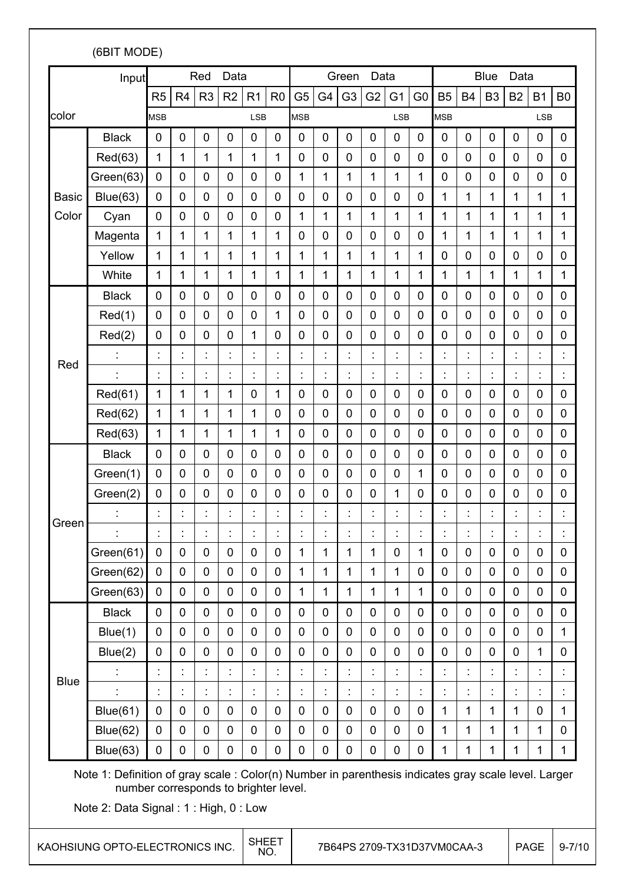| R <sub>5</sub><br><b>MSB</b><br>0<br><b>Black</b><br>1<br>Red(63)<br>Green(63)<br>$\mathbf 0$<br>Blue(63)<br>$\mathbf 0$<br>$\overline{0}$<br>Cyan<br>1<br>Magenta<br>Yellow<br>1<br>1<br>White<br><b>Black</b><br>0<br>Red(1)<br>$\mathbf 0$<br>Red(2)<br>0<br>İ<br>Red(61)<br>1 | R <sub>4</sub><br>$\mathbf 0$<br>1<br>$\mathbf 0$<br>$\mathbf 0$<br>$\overline{0}$<br>1<br>1<br>1<br>$\mathbf 0$<br>$\mathbf 0$<br>$\mathbf 0$                    | R <sub>3</sub><br>0<br>1<br>0<br>0<br>0<br>1<br>1<br>1<br>0<br>0<br>0                                                                                 | R <sub>2</sub><br>$\mathbf 0$<br>1<br>$\mathbf 0$<br>$\mathbf 0$<br>$\overline{0}$<br>1<br>1<br>1<br>0<br>$\mathbf 0$ | R <sub>1</sub><br><b>LSB</b><br>0<br>$\mathbf{1}$<br>$\mathbf 0$<br>$\mathbf 0$<br>$\overline{0}$<br>1<br>1<br>1<br>$\mathbf 0$ | R <sub>0</sub><br>$\mathbf 0$<br>1<br>$\mathbf 0$<br>$\mathbf 0$<br>0<br>1<br>1<br>1 | G <sub>5</sub><br><b>MSB</b><br>$\mathbf 0$<br>$\mathbf 0$<br>1<br>$\mathbf 0$<br>1<br>$\overline{0}$<br>1 | G4<br>0<br>0<br>1<br>0<br>1<br>0 | G <sub>3</sub><br>0<br>0<br>1<br>$\mathbf 0$<br>1 | G <sub>2</sub><br>$\mathbf 0$<br>$\mathbf 0$<br>1<br>$\mathbf 0$<br>1 | G <sub>1</sub><br><b>LSB</b><br>$\mathbf 0$<br>$\mathbf 0$<br>1<br>$\mathbf 0$ | G <sub>0</sub><br>$\mathbf 0$<br>$\mathbf 0$<br>$\mathbf{1}$<br>$\mathbf 0$ | <b>B5</b><br><b>MSB</b><br>0<br>0<br>0<br>1 | <b>B4</b><br>0<br>$\mathbf 0$<br>$\mathbf 0$<br>1 | B <sub>3</sub><br>0<br>$\overline{0}$<br>$\mathbf 0$<br>1 | <b>B2</b><br>0<br>0<br>0<br>1 | <b>B1</b><br><b>LSB</b><br>$\mathbf 0$<br>$\mathbf 0$<br>$\mathbf 0$<br>1 | B <sub>0</sub><br>0<br>0<br>0<br>1 |
|-----------------------------------------------------------------------------------------------------------------------------------------------------------------------------------------------------------------------------------------------------------------------------------|-------------------------------------------------------------------------------------------------------------------------------------------------------------------|-------------------------------------------------------------------------------------------------------------------------------------------------------|-----------------------------------------------------------------------------------------------------------------------|---------------------------------------------------------------------------------------------------------------------------------|--------------------------------------------------------------------------------------|------------------------------------------------------------------------------------------------------------|----------------------------------|---------------------------------------------------|-----------------------------------------------------------------------|--------------------------------------------------------------------------------|-----------------------------------------------------------------------------|---------------------------------------------|---------------------------------------------------|-----------------------------------------------------------|-------------------------------|---------------------------------------------------------------------------|------------------------------------|
|                                                                                                                                                                                                                                                                                   |                                                                                                                                                                   |                                                                                                                                                       |                                                                                                                       |                                                                                                                                 |                                                                                      |                                                                                                            |                                  |                                                   |                                                                       |                                                                                |                                                                             |                                             |                                                   |                                                           |                               |                                                                           |                                    |
|                                                                                                                                                                                                                                                                                   |                                                                                                                                                                   |                                                                                                                                                       |                                                                                                                       |                                                                                                                                 |                                                                                      |                                                                                                            |                                  |                                                   |                                                                       |                                                                                |                                                                             |                                             |                                                   |                                                           |                               |                                                                           |                                    |
|                                                                                                                                                                                                                                                                                   |                                                                                                                                                                   |                                                                                                                                                       |                                                                                                                       |                                                                                                                                 |                                                                                      |                                                                                                            |                                  |                                                   |                                                                       |                                                                                |                                                                             |                                             |                                                   |                                                           |                               |                                                                           |                                    |
|                                                                                                                                                                                                                                                                                   |                                                                                                                                                                   |                                                                                                                                                       |                                                                                                                       |                                                                                                                                 |                                                                                      |                                                                                                            |                                  |                                                   |                                                                       |                                                                                |                                                                             |                                             |                                                   |                                                           |                               |                                                                           |                                    |
|                                                                                                                                                                                                                                                                                   |                                                                                                                                                                   |                                                                                                                                                       |                                                                                                                       |                                                                                                                                 |                                                                                      |                                                                                                            |                                  |                                                   |                                                                       |                                                                                |                                                                             |                                             |                                                   |                                                           |                               |                                                                           |                                    |
|                                                                                                                                                                                                                                                                                   |                                                                                                                                                                   |                                                                                                                                                       |                                                                                                                       |                                                                                                                                 |                                                                                      |                                                                                                            |                                  |                                                   |                                                                       |                                                                                |                                                                             |                                             |                                                   |                                                           |                               |                                                                           |                                    |
|                                                                                                                                                                                                                                                                                   |                                                                                                                                                                   |                                                                                                                                                       |                                                                                                                       |                                                                                                                                 |                                                                                      |                                                                                                            |                                  |                                                   |                                                                       | 1                                                                              | $\mathbf{1}$                                                                | 1                                           | 1                                                 | 1                                                         | 1                             | 1                                                                         | 1                                  |
|                                                                                                                                                                                                                                                                                   |                                                                                                                                                                   |                                                                                                                                                       |                                                                                                                       |                                                                                                                                 |                                                                                      |                                                                                                            |                                  | 0                                                 | $\mathbf 0$                                                           | $\mathbf 0$                                                                    | $\overline{0}$                                                              | 1                                           | 1                                                 | 1                                                         | 1                             | 1                                                                         | 1                                  |
|                                                                                                                                                                                                                                                                                   |                                                                                                                                                                   |                                                                                                                                                       |                                                                                                                       |                                                                                                                                 |                                                                                      |                                                                                                            | 1                                | 1                                                 | 1                                                                     | 1                                                                              | 1                                                                           | 0                                           | 0                                                 | $\mathbf 0$                                               | 0                             | $\overline{0}$                                                            | 0                                  |
|                                                                                                                                                                                                                                                                                   |                                                                                                                                                                   |                                                                                                                                                       |                                                                                                                       |                                                                                                                                 |                                                                                      | 1                                                                                                          | 1                                | 1                                                 | 1                                                                     | 1                                                                              | 1                                                                           | 1                                           | 1                                                 | 1                                                         | 1                             | 1                                                                         | 1                                  |
|                                                                                                                                                                                                                                                                                   |                                                                                                                                                                   |                                                                                                                                                       |                                                                                                                       |                                                                                                                                 | 0                                                                                    | $\mathbf 0$                                                                                                | 0                                | 0                                                 | $\mathbf 0$                                                           | $\mathbf 0$                                                                    | $\mathbf 0$                                                                 | 0                                           | $\mathbf 0$                                       | $\mathbf 0$                                               | 0                             | $\mathbf 0$                                                               | 0                                  |
|                                                                                                                                                                                                                                                                                   |                                                                                                                                                                   |                                                                                                                                                       |                                                                                                                       | $\mathbf 0$                                                                                                                     | 1                                                                                    | $\overline{0}$                                                                                             | 0                                | 0                                                 | $\mathbf 0$                                                           | $\mathbf 0$                                                                    | $\overline{0}$                                                              | 0                                           | 0                                                 | $\mathbf 0$                                               | 0                             | $\mathbf 0$                                                               | 0                                  |
|                                                                                                                                                                                                                                                                                   |                                                                                                                                                                   |                                                                                                                                                       | $\mathbf 0$                                                                                                           | 1                                                                                                                               | $\mathbf 0$                                                                          | $\mathbf 0$                                                                                                | 0                                | 0                                                 | $\mathbf 0$                                                           | $\mathbf 0$                                                                    | $\mathbf 0$                                                                 | 0                                           | $\mathbf 0$                                       | 0                                                         | 0                             | $\mathbf 0$                                                               | 0                                  |
|                                                                                                                                                                                                                                                                                   |                                                                                                                                                                   |                                                                                                                                                       | Ì                                                                                                                     |                                                                                                                                 | Ì                                                                                    |                                                                                                            | ٠                                | $\ddot{\cdot}$                                    |                                                                       |                                                                                |                                                                             | Ì                                           | $\cdot$                                           |                                                           | $\ddot{\phantom{0}}$          |                                                                           | Ì                                  |
|                                                                                                                                                                                                                                                                                   | İ                                                                                                                                                                 | İ,                                                                                                                                                    | t                                                                                                                     | İ                                                                                                                               | İ,                                                                                   |                                                                                                            | t,                               | İ,                                                | $\ddot{\cdot}$                                                        | t                                                                              |                                                                             | t.                                          | $\blacksquare$                                    | İ                                                         | $\ddot{\phantom{a}}$          |                                                                           | t                                  |
|                                                                                                                                                                                                                                                                                   | 1                                                                                                                                                                 | 1                                                                                                                                                     | 1                                                                                                                     | 0                                                                                                                               | 1                                                                                    | 0                                                                                                          | 0                                | 0                                                 | 0                                                                     | 0                                                                              | $\mathbf 0$                                                                 | 0                                           | 0                                                 | $\mathbf 0$                                               | 0                             | $\overline{0}$                                                            | 0                                  |
| Red(62)<br>1                                                                                                                                                                                                                                                                      | 1                                                                                                                                                                 | 1                                                                                                                                                     | 1                                                                                                                     | 1                                                                                                                               | 0                                                                                    | $\mathbf 0$                                                                                                | 0                                | 0                                                 | $\mathbf 0$                                                           | $\mathbf 0$                                                                    | 0                                                                           | 0                                           | $\mathbf 0$                                       | 0                                                         | 0                             | $\mathbf 0$                                                               | 0                                  |
| Red(63)<br>1                                                                                                                                                                                                                                                                      | 1                                                                                                                                                                 | 1                                                                                                                                                     | 1                                                                                                                     | 1                                                                                                                               | 1                                                                                    | 0                                                                                                          | 0                                | 0                                                 | $\mathbf 0$                                                           | $\mathbf 0$                                                                    | $\overline{0}$                                                              | 0                                           | $\mathbf 0$                                       | 0                                                         | 0                             | $\mathbf 0$                                                               | 0                                  |
| <b>Black</b><br>0                                                                                                                                                                                                                                                                 | $\mathbf 0$                                                                                                                                                       | 0                                                                                                                                                     | $\mathbf 0$                                                                                                           | $\mathbf 0$                                                                                                                     | $\mathbf 0$                                                                          | $\mathbf 0$                                                                                                | 0                                | $\mathbf 0$                                       | $\mathbf 0$                                                           | $\mathbf 0$                                                                    | $\mathbf 0$                                                                 | 0                                           | 0                                                 | $\overline{0}$                                            | $\mathbf 0$                   | $\mathbf 0$                                                               | 0                                  |
|                                                                                                                                                                                                                                                                                   | $\mathbf 0$                                                                                                                                                       | 0                                                                                                                                                     | $\mathbf 0$                                                                                                           | 0                                                                                                                               | $\mathbf 0$                                                                          | $\mathbf 0$                                                                                                | $\pmb{0}$                        | $\mathbf 0$                                       | $\mathbf 0$                                                           | $\mathbf 0$                                                                    | $\mathbf{1}$                                                                | $\mathbf 0$                                 | $\mathbf 0$                                       | $\overline{0}$                                            | $\mathbf 0$                   | $\mathbf 0$                                                               | 0                                  |
|                                                                                                                                                                                                                                                                                   | 0                                                                                                                                                                 | 0                                                                                                                                                     | 0                                                                                                                     | 0                                                                                                                               | 0                                                                                    | 0                                                                                                          | 0                                | 0                                                 | 0                                                                     | 1                                                                              | 0                                                                           | 0                                           | 0                                                 | 0                                                         | 0                             | $\mathbf 0$                                                               | 0                                  |
|                                                                                                                                                                                                                                                                                   |                                                                                                                                                                   |                                                                                                                                                       |                                                                                                                       |                                                                                                                                 | ÷                                                                                    |                                                                                                            |                                  | ÷                                                 |                                                                       |                                                                                |                                                                             |                                             | ÷                                                 |                                                           | ÷                             |                                                                           | $\epsilon$                         |
|                                                                                                                                                                                                                                                                                   |                                                                                                                                                                   |                                                                                                                                                       |                                                                                                                       |                                                                                                                                 |                                                                                      |                                                                                                            |                                  |                                                   |                                                                       |                                                                                |                                                                             |                                             |                                                   |                                                           |                               |                                                                           |                                    |
|                                                                                                                                                                                                                                                                                   | $\mathbf 0$                                                                                                                                                       | 0                                                                                                                                                     | $\mathbf 0$                                                                                                           | $\mathbf 0$                                                                                                                     | 0                                                                                    | 1                                                                                                          | 1                                | 1                                                 | 1                                                                     | 0                                                                              | $\mathbf{1}$                                                                | 0                                           | $\mathbf 0$                                       | 0                                                         | 0                             | 0                                                                         | $\mathbf 0$                        |
|                                                                                                                                                                                                                                                                                   | $\mathbf 0$                                                                                                                                                       | 0                                                                                                                                                     | $\mathbf 0$                                                                                                           | $\mathbf 0$                                                                                                                     | $\mathbf 0$                                                                          | $\mathbf{1}$                                                                                               | 1                                | $\mathbf{1}$                                      | 1                                                                     | $\mathbf{1}$                                                                   | $\mathbf 0$                                                                 | 0                                           | $\mathbf 0$                                       | $\mathbf 0$                                               | 0                             | $\mathbf 0$                                                               | $\mathbf 0$                        |
|                                                                                                                                                                                                                                                                                   | $\mathbf 0$                                                                                                                                                       | 0                                                                                                                                                     | $\mathbf 0$                                                                                                           | $\mathbf 0$                                                                                                                     | $\mathbf 0$                                                                          | 1                                                                                                          | 1                                | 1                                                 | 1                                                                     | $\mathbf 1$                                                                    | $\mathbf{1}$                                                                | 0                                           | $\mathbf 0$                                       | $\mathbf 0$                                               | 0                             | 0                                                                         | 0                                  |
|                                                                                                                                                                                                                                                                                   | $\mathbf 0$                                                                                                                                                       | 0                                                                                                                                                     | $\mathbf 0$                                                                                                           | $\mathbf 0$                                                                                                                     | $\mathbf 0$                                                                          | $\mathbf 0$                                                                                                | $\mathbf 0$                      | $\mathbf 0$                                       | $\mathbf 0$                                                           | $\mathbf 0$                                                                    | $\mathbf 0$                                                                 | $\mathbf 0$                                 | $\mathbf 0$                                       | $\mathbf 0$                                               | 0                             | $\mathbf 0$                                                               | $\overline{0}$                     |
|                                                                                                                                                                                                                                                                                   | $\mathbf 0$                                                                                                                                                       | 0                                                                                                                                                     | $\mathbf 0$                                                                                                           | $\mathbf 0$                                                                                                                     | $\mathbf 0$                                                                          | $\mathbf 0$                                                                                                | $\mathbf 0$                      | $\mathbf 0$                                       | $\mathbf 0$                                                           | $\mathbf 0$                                                                    | $\mathbf 0$                                                                 | $\mathbf 0$                                 | $\mathbf 0$                                       | $\mathbf 0$                                               | 0                             | $\mathbf 0$                                                               | $\mathbf{1}$                       |
|                                                                                                                                                                                                                                                                                   | $\mathbf 0$                                                                                                                                                       | 0                                                                                                                                                     | $\mathbf 0$                                                                                                           | 0                                                                                                                               | $\mathbf 0$                                                                          | $\mathbf 0$                                                                                                | 0                                | $\mathbf 0$                                       | $\mathbf 0$                                                           | $\mathbf 0$                                                                    | $\mathbf 0$                                                                 | $\mathbf 0$                                 | $\mathbf 0$                                       | $\overline{0}$                                            | $\overline{0}$                | $\mathbf{1}$                                                              | $\mathbf 0$                        |
|                                                                                                                                                                                                                                                                                   | $\ddot{\cdot}$                                                                                                                                                    | t,                                                                                                                                                    | Ì.                                                                                                                    | $\ddot{\cdot}$                                                                                                                  | $\ddot{\cdot}$                                                                       | Ì,                                                                                                         | $\ddot{\cdot}$                   | $\ddot{\cdot}$                                    | $\ddot{\cdot}$                                                        | $\ddot{\cdot}$                                                                 | $\ddot{\cdot}$                                                              | Ì.                                          | $\ddot{\cdot}$                                    |                                                           | $\ddot{\cdot}$                |                                                                           |                                    |
|                                                                                                                                                                                                                                                                                   | $\ddot{\cdot}$                                                                                                                                                    | ÷,                                                                                                                                                    | ÷.                                                                                                                    | Ì,                                                                                                                              | $\ddot{\cdot}$                                                                       |                                                                                                            | ÷.                               | ÷,                                                | $\ddot{\cdot}$                                                        | $\ddot{\cdot}$                                                                 | t                                                                           |                                             | t                                                 | $\ddot{\cdot}$                                            | t                             |                                                                           | t,                                 |
|                                                                                                                                                                                                                                                                                   | $\mathbf 0$                                                                                                                                                       | 0                                                                                                                                                     | $\mathbf 0$                                                                                                           | $\mathbf 0$                                                                                                                     | $\mathbf 0$                                                                          | $\mathbf 0$                                                                                                | $\mathbf 0$                      | $\mathbf 0$                                       | $\mathbf 0$                                                           | $\mathbf 0$                                                                    | 0                                                                           | $\mathbf{1}$                                | 1                                                 | 1                                                         | 1                             | 0                                                                         | $\mathbf{1}$                       |
|                                                                                                                                                                                                                                                                                   | $\mathbf 0$                                                                                                                                                       | $\mathbf 0$                                                                                                                                           | $\mathbf 0$                                                                                                           | $\mathbf 0$                                                                                                                     | $\mathbf 0$                                                                          | $\mathbf 0$                                                                                                | $\pmb{0}$                        | $\mathbf 0$                                       | $\mathbf 0$                                                           | $\mathbf 0$                                                                    | 0                                                                           | $\mathbf{1}$                                | 1                                                 | 1                                                         | 1                             | 1                                                                         | 0                                  |
|                                                                                                                                                                                                                                                                                   | $\mathbf 0$                                                                                                                                                       | 0                                                                                                                                                     | $\mathbf 0$                                                                                                           | $\mathbf 0$                                                                                                                     | $\mathbf 0$                                                                          | $\mathbf 0$                                                                                                | $\mathbf 0$                      | $\mathbf 0$                                       |                                                                       |                                                                                |                                                                             |                                             |                                                   |                                                           |                               | 1                                                                         | $\mathbf{1}$                       |
|                                                                                                                                                                                                                                                                                   | Green(1)<br>Green(2)<br>٠<br>Green(61)<br>Green(62)<br>Green(63)<br><b>Black</b><br>Blue(1)<br>Blue(2)<br>$\ddot{\cdot}$<br>Ì<br>Blue(61)<br>Blue(62)<br>Blue(63) | $\mathbf 0$<br>0<br>$\ddot{\cdot}$<br>$\mathbf 0$<br>$\mathbf 0$<br>$\mathbf 0$<br>$\mathbf 0$<br>0<br>0<br>$\mathbf 0$<br>$\mathbf 0$<br>$\mathbf 0$ |                                                                                                                       |                                                                                                                                 |                                                                                      |                                                                                                            |                                  |                                                   |                                                                       |                                                                                |                                                                             |                                             |                                                   |                                                           |                               | $\mathbf 0$<br>$\mathbf 0$<br>$\mathbf 0$<br>1<br>1<br>1<br>1             |                                    |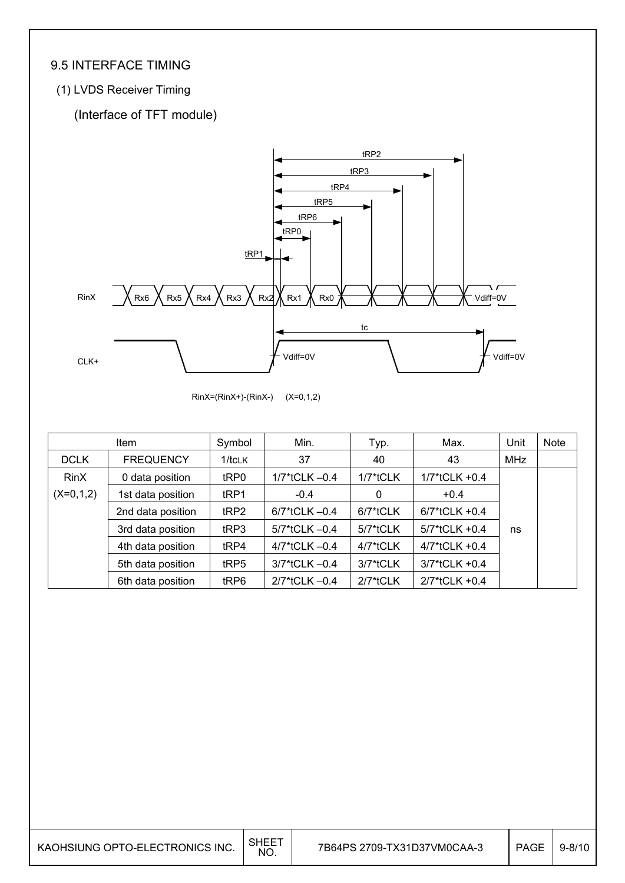### 9.5 INTERFACE TIMING

#### (1) LVDS Receiver Timing

### (Interface of TFT module)



RinX=(RinX+)-(RinX-) (X=0,1,2)

|             | Item              | Symbol           | Min.               | Typ.        | Max.             | Unit       | Note |
|-------------|-------------------|------------------|--------------------|-------------|------------------|------------|------|
| <b>DCLK</b> | <b>FREQUENCY</b>  | 1/tCLK           | 37                 | 40          | 43               | <b>MHz</b> |      |
| <b>RinX</b> | 0 data position   | tRP0             | $1/7$ *tCLK $-0.4$ | 1/7*tCLK    | $1/7$ *tCLK +0.4 |            |      |
| $(X=0,1,2)$ | 1st data position | tRP1             | $-0.4$             | 0           | $+0.4$           |            |      |
|             | 2nd data position | tRP2             | 6/7*tCLK -0.4      | 6/7*tCLK    | $6/7$ *tCLK +0.4 |            |      |
|             | 3rd data position | tRP3             | 5/7*tCLK -0.4      | 5/7*tCLK    | 5/7*tCLK +0.4    | ns         |      |
|             | 4th data position | t <sub>RP4</sub> | 4/7*tCLK -0.4      | 4/7*tCLK    | 4/7*tCLK +0.4    |            |      |
|             | 5th data position | tRP5             | 3/7*tCLK-0.4       | 3/7*tCLK    | 3/7*tCLK +0.4    |            |      |
|             | 6th data position | tRP6             | 2/7*tCLK -0.4      | $2/7*$ tCLK | 2/7*tCLK +0.4    |            |      |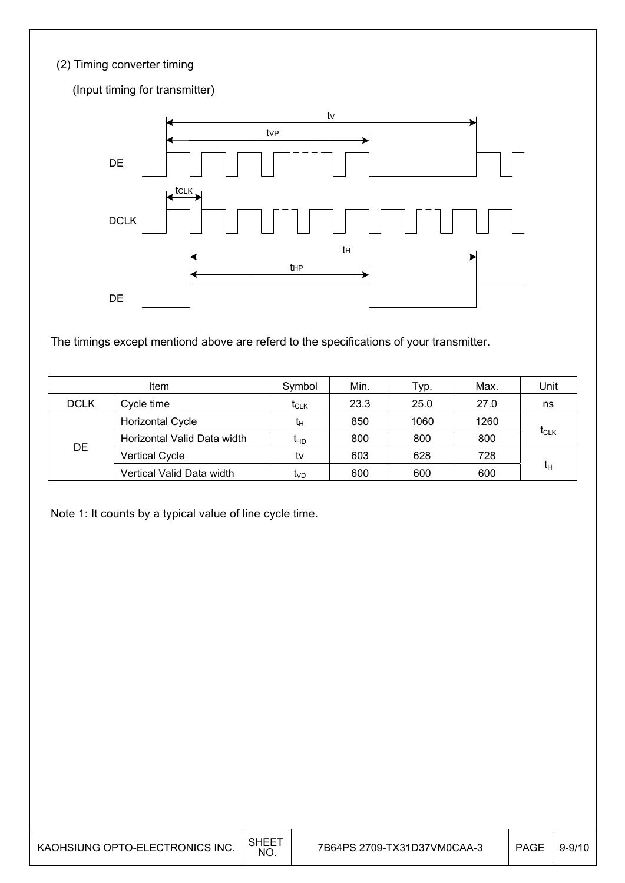#### (2) Timing converter timing

(Input timing for transmitter) DE DCLK DE and the set of the set of the set of the set of the set of the set of the set of the set of the set of the set of the set of the set of the set of the set of the set of the set of the set of the set of the set of the se tVP tV tCLK t<sub>HP</sub> tH

The timings except mentiond above are referd to the specifications of your transmitter.

|             | Item                        | Symbol                                          | Min. | Typ. | Max. | Unit      |
|-------------|-----------------------------|-------------------------------------------------|------|------|------|-----------|
| <b>DCLK</b> | Cycle time                  | $\mathfrak{r}_{\scriptscriptstyle{\text{CLK}}}$ | 23.3 | 25.0 | 27.0 | ns        |
|             | <b>Horizontal Cycle</b>     | tн                                              | 850  | 1060 | 1260 |           |
|             | Horizontal Valid Data width | ŀю                                              | 800  | 800  | 800  | $t_{CLK}$ |
| DE          | <b>Vertical Cycle</b>       | tv                                              | 603  | 628  | 728  |           |
|             | Vertical Valid Data width   | <b>L</b> <sub>VD</sub>                          | 600  | 600  | 600  | tн        |

Note 1: It counts by a typical value of line cycle time.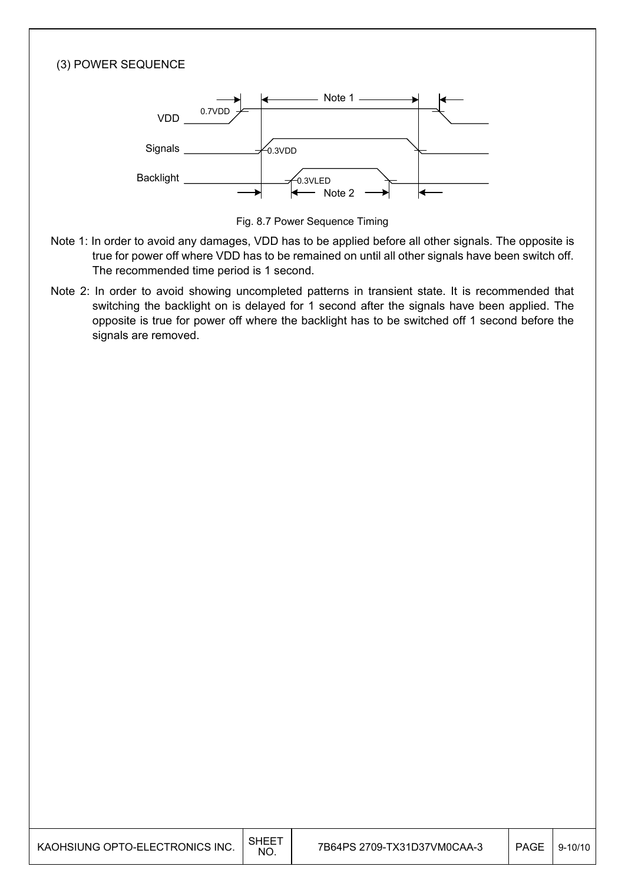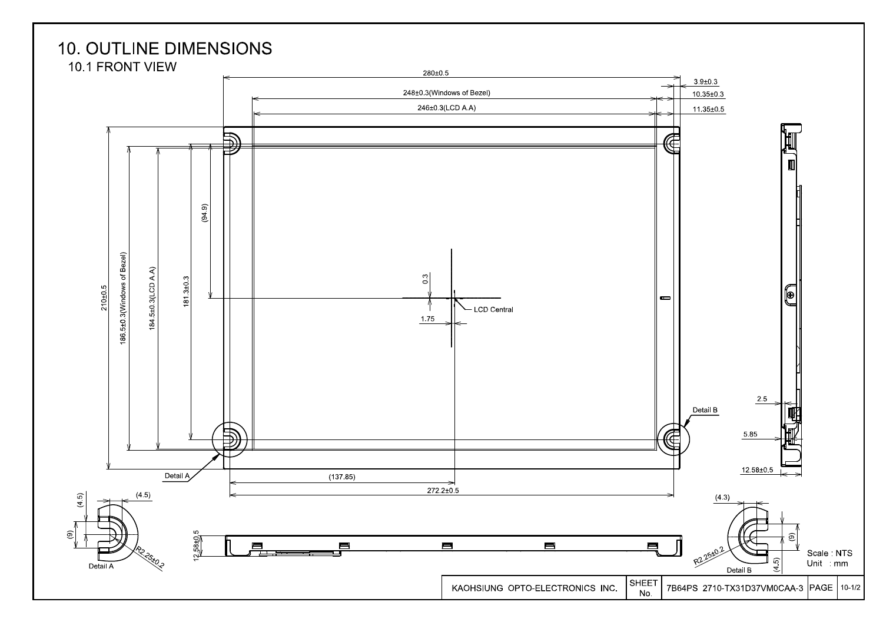### **10. OUTLINE DIMENSIONS**

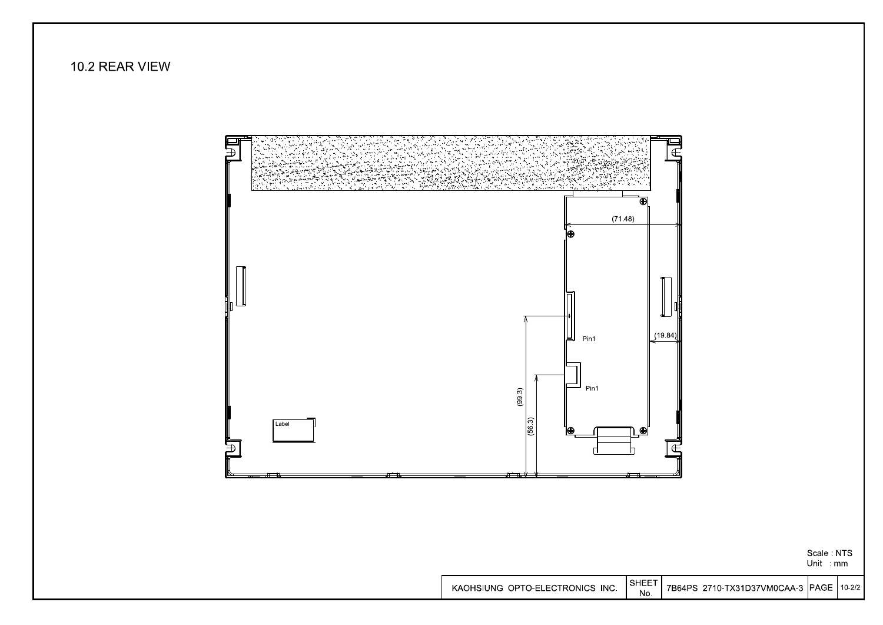

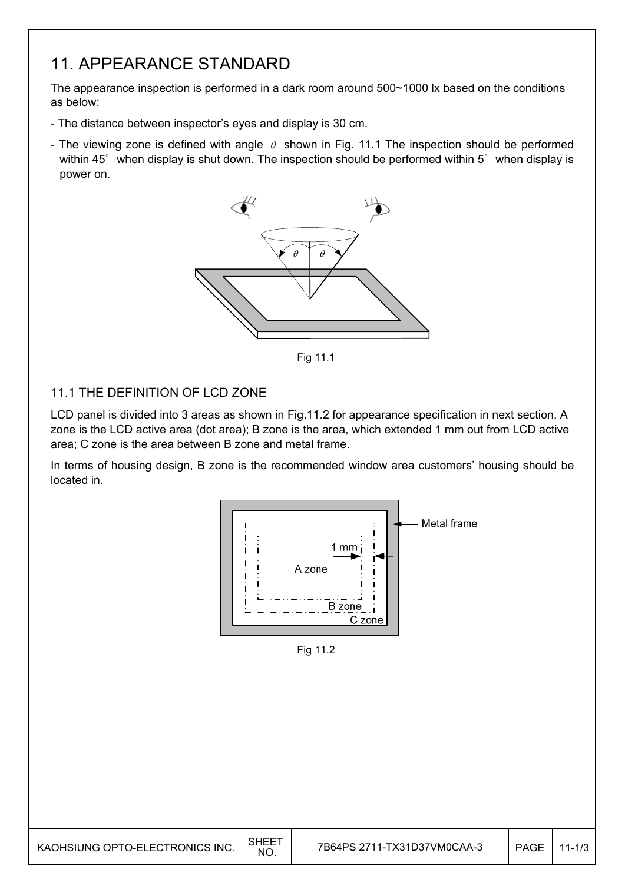### 11. APPEARANCE STANDARD

The appearance inspection is performed in a dark room around 500~1000 lx based on the conditions as below:

- The distance between inspector's eyes and display is 30 cm.
- The viewing zone is defined with angle  $\theta$  shown in Fig. 11.1 The inspection should be performed within  $45^\circ$  when display is shut down. The inspection should be performed within  $5^\circ$  when display is power on.



Fig. 12.1 Fig 11.1

#### 11.1 THE DEFINITION OF LCD ZONE

LCD panel is divided into 3 areas as shown in Fig.11.2 for appearance specification in next section. A zone is the LCD active area (dot area); B zone is the area, which extended 1 mm out from LCD active area; C zone is the area between B zone and metal frame.

In terms of housing design, B zone is the recommended window area customers' housing should be located in.



Fig 11.2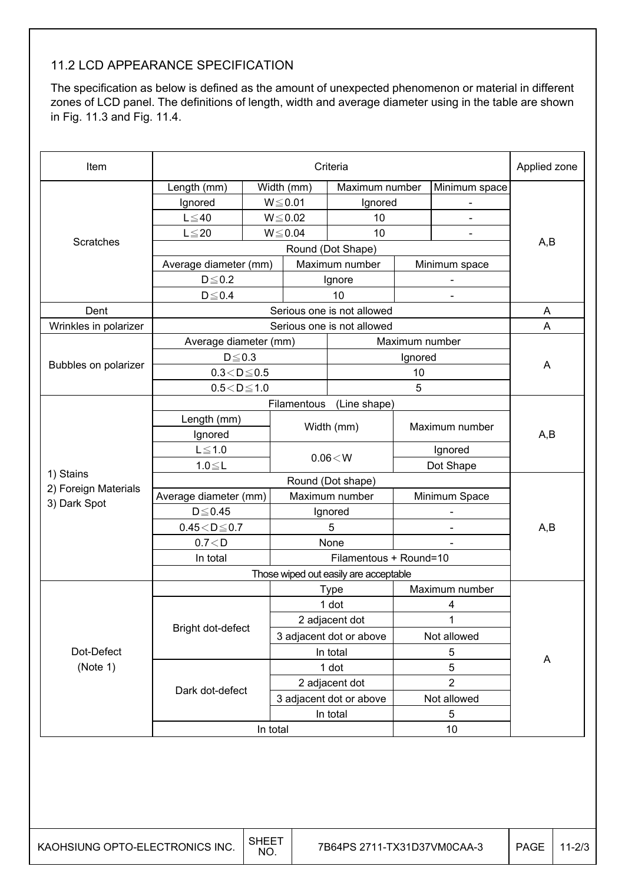#### 11.2 LCD APPEARANCE SPECIFICATION

The specification as below is defined as the amount of unexpected phenomenon or material in different zones of LCD panel. The definitions of length, width and average diameter using in the table are shown in Fig. 11.3 and Fig. 11.4.

| Item                  |                         | Criteria<br>Applied zone |                            |                                       |                              |                          |     |  |  |
|-----------------------|-------------------------|--------------------------|----------------------------|---------------------------------------|------------------------------|--------------------------|-----|--|--|
|                       | Length (mm)             |                          | Width (mm)                 | Maximum number                        |                              | Minimum space            |     |  |  |
|                       | Ignored                 |                          | $W \le 0.01$               | Ignored                               |                              |                          |     |  |  |
|                       | $L \leq 40$             |                          | $W \le 0.02$               | 10                                    |                              |                          |     |  |  |
|                       | $L \leq 20$             |                          | $W \le 0.04$               | 10                                    |                              |                          |     |  |  |
| Scratches             |                         |                          |                            | Round (Dot Shape)                     |                              |                          | A,B |  |  |
|                       | Average diameter (mm)   |                          |                            | Maximum number                        |                              | Minimum space            |     |  |  |
|                       | $D \le 0.2$             |                          |                            | Ignore                                |                              |                          |     |  |  |
|                       | $D \le 0.4$             |                          |                            | 10                                    |                              | $\blacksquare$           |     |  |  |
| Dent                  |                         |                          | Serious one is not allowed | A                                     |                              |                          |     |  |  |
| Wrinkles in polarizer |                         |                          | Serious one is not allowed | A                                     |                              |                          |     |  |  |
|                       | Average diameter (mm)   |                          |                            |                                       | Maximum number               |                          |     |  |  |
| Bubbles on polarizer  | $D \le 0.3$             |                          |                            |                                       | Ignored                      |                          | A   |  |  |
|                       | $0.3 < D \le 0.5$       |                          |                            |                                       | 10                           |                          |     |  |  |
|                       | $0.5 < D \le 1.0$       |                          |                            |                                       | 5                            |                          |     |  |  |
|                       |                         |                          | Filamentous                | (Line shape)                          |                              |                          |     |  |  |
|                       | Length (mm)             |                          |                            | Width (mm)                            |                              | Maximum number           |     |  |  |
| 1) Stains             | Ignored                 |                          |                            |                                       |                              |                          | A,B |  |  |
|                       | $L \leq 1.0$            |                          |                            | 0.06 < W                              |                              | Ignored                  |     |  |  |
|                       | $1.0 \le L$             |                          |                            |                                       |                              | Dot Shape                |     |  |  |
| 2) Foreign Materials  |                         |                          |                            | Round (Dot shape)                     |                              |                          |     |  |  |
| 3) Dark Spot          |                         | Average diameter (mm)    |                            | Maximum number                        |                              | Minimum Space            |     |  |  |
|                       | $D \leq 0.45$           |                          |                            | Ignored                               |                              | $\overline{\phantom{a}}$ |     |  |  |
|                       | $0.45\!<\!D\!\leq\!0.7$ |                          | 5                          |                                       | $\qquad \qquad \blacksquare$ |                          | A,B |  |  |
|                       | 0.7 < D                 |                          |                            | None                                  |                              |                          |     |  |  |
|                       | In total                |                          |                            | Filamentous + Round=10                |                              |                          |     |  |  |
|                       |                         |                          |                            | Those wiped out easily are acceptable |                              |                          |     |  |  |
|                       |                         |                          |                            | <b>Type</b>                           |                              | Maximum number           |     |  |  |
|                       |                         |                          |                            | 1 dot                                 |                              | 4                        |     |  |  |
|                       | Bright dot-defect       |                          |                            | 2 adjacent dot                        |                              | 1                        |     |  |  |
|                       |                         |                          |                            | 3 adjacent dot or above               |                              | Not allowed              |     |  |  |
| Dot-Defect            |                         |                          |                            | In total                              |                              | 5                        | A   |  |  |
| (Note 1)              |                         |                          |                            | 1 dot                                 |                              | $\sqrt{5}$               |     |  |  |
|                       | Dark dot-defect         |                          |                            | 2 adjacent dot                        |                              | $\overline{2}$           |     |  |  |
|                       |                         |                          |                            | 3 adjacent dot or above               |                              | Not allowed              |     |  |  |
|                       |                         |                          |                            | In total                              |                              | 5                        |     |  |  |
|                       |                         | In total                 |                            |                                       |                              | 10                       |     |  |  |
|                       |                         |                          |                            |                                       |                              |                          |     |  |  |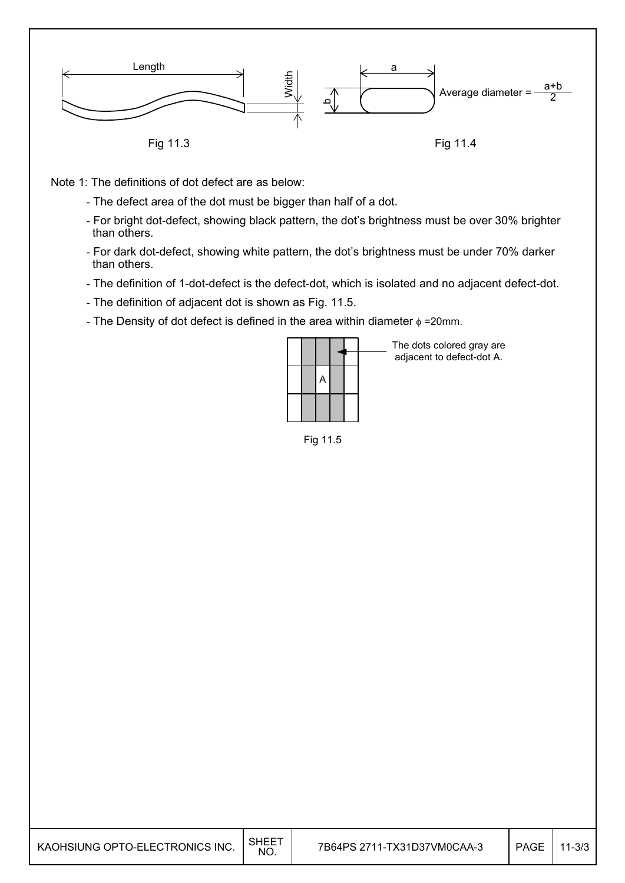

Note 1: The definitions of dot defect are as below:

- The defect area of the dot must be bigger than half of a dot.
- For bright dot-defect, showing black pattern, the dot's brightness must be over 30% brighter than others.
- For dark dot-defect, showing white pattern, the dot's brightness must be under 70% darker than others.
- The definition of 1-dot-defect is the defect-dot, which is isolated and no adjacent defect-dot.
- The definition of adjacent dot is shown as Fig. 11.5.
- The Density of dot defect is defined in the area within diameter  $\phi$  =20mm.

|  | A |  |  |
|--|---|--|--|
|  |   |  |  |
|  |   |  |  |

The dots colored gray are adjacent to defect-dot A.



| KAOHSIUNG OPTO-ELECTRONICS INC. | SHEET<br>NO. |  | PAGE | $11 - 3/3$ |
|---------------------------------|--------------|--|------|------------|
|---------------------------------|--------------|--|------|------------|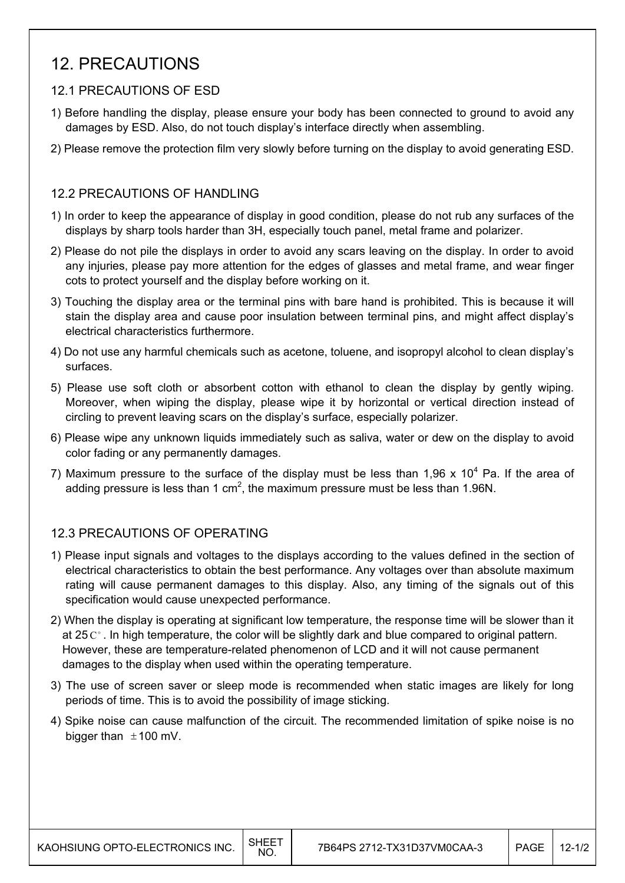### 12. PRECAUTIONS

#### 12.1 PRECAUTIONS OF ESD

- 1) Before handling the display, please ensure your body has been connected to ground to avoid any damages by ESD. Also, do not touch display's interface directly when assembling.
- 2) Please remove the protection film very slowly before turning on the display to avoid generating ESD.

#### 12.2 PRECAUTIONS OF HANDLING

- 1) In order to keep the appearance of display in good condition, please do not rub any surfaces of the displays by sharp tools harder than 3H, especially touch panel, metal frame and polarizer.
- 2) Please do not pile the displays in order to avoid any scars leaving on the display. In order to avoid any injuries, please pay more attention for the edges of glasses and metal frame, and wear finger cots to protect yourself and the display before working on it.
- 3) Touching the display area or the terminal pins with bare hand is prohibited. This is because it will stain the display area and cause poor insulation between terminal pins, and might affect display's electrical characteristics furthermore.
- 4) Do not use any harmful chemicals such as acetone, toluene, and isopropyl alcohol to clean display's surfaces.
- 5) Please use soft cloth or absorbent cotton with ethanol to clean the display by gently wiping. Moreover, when wiping the display, please wipe it by horizontal or vertical direction instead of circling to prevent leaving scars on the display's surface, especially polarizer.
- 6) Please wipe any unknown liquids immediately such as saliva, water or dew on the display to avoid color fading or any permanently damages.
- 7) Maximum pressure to the surface of the display must be less than 1,96 x 10<sup>4</sup> Pa. If the area of adding pressure is less than 1 cm<sup>2</sup>, the maximum pressure must be less than 1.96N.

#### 12.3 PRECAUTIONS OF OPERATING

- 1) Please input signals and voltages to the displays according to the values defined in the section of electrical characteristics to obtain the best performance. Any voltages over than absolute maximum rating will cause permanent damages to this display. Also, any timing of the signals out of this specification would cause unexpected performance.
- 2) When the display is operating at significant low temperature, the response time will be slower than it at 25  $\mathrm{C}^{\circ}$ . In high temperature, the color will be slightly dark and blue compared to original pattern. However, these are temperature-related phenomenon of LCD and it will not cause permanent damages to the display when used within the operating temperature.
- 3) The use of screen saver or sleep mode is recommended when static images are likely for long periods of time. This is to avoid the possibility of image sticking.
- 4) Spike noise can cause malfunction of the circuit. The recommended limitation of spike noise is no bigger than  $\pm$ 100 mV.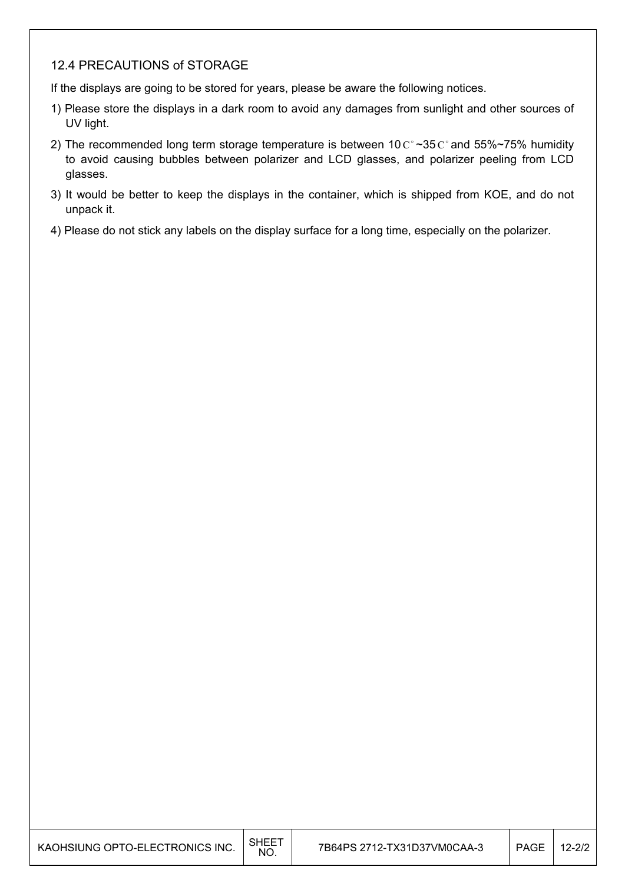#### 12.4 PRECAUTIONS of STORAGE

If the displays are going to be stored for years, please be aware the following notices.

- 1) Please store the displays in a dark room to avoid any damages from sunlight and other sources of UV light.
- 2) The recommended long term storage temperature is between 10  $C^{\circ}$  ~35  $C^{\circ}$  and 55%~75% humidity to avoid causing bubbles between polarizer and LCD glasses, and polarizer peeling from LCD glasses.
- 3) It would be better to keep the displays in the container, which is shipped from KOE, and do not unpack it.
- 4) Please do not stick any labels on the display surface for a long time, especially on the polarizer.

| KAOHSIUNG OPTO-ELECTRONICS INC. | $\overline{\phantom{a}}$ SHEET<br>NO. | 7B64PS 2712-TX31D37VM0CAA-3 | <b>PAGE</b> | $12 - 2/2$ |
|---------------------------------|---------------------------------------|-----------------------------|-------------|------------|